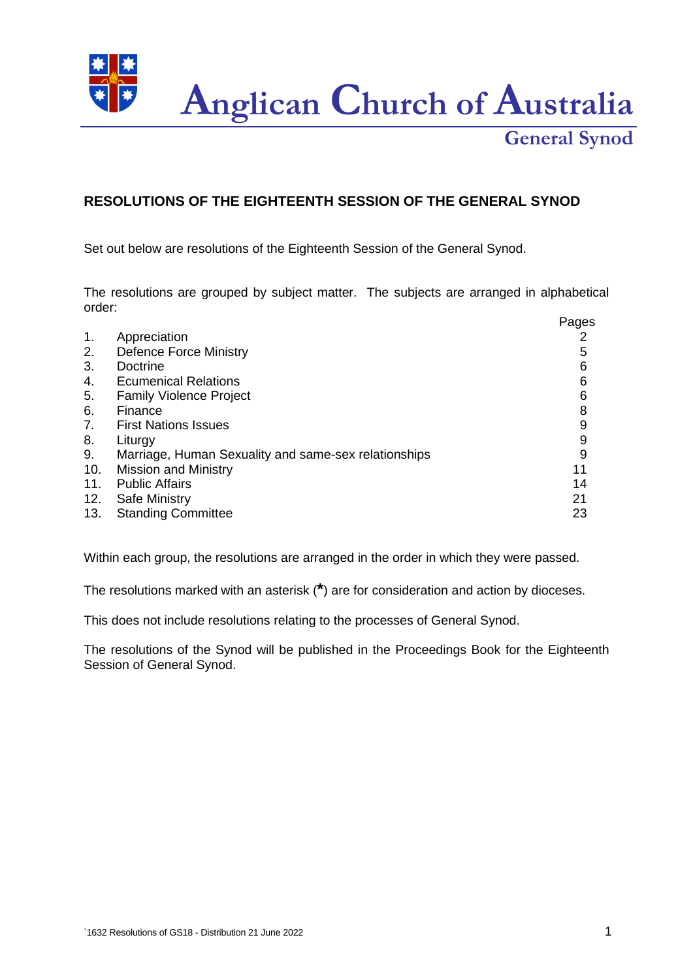**Anglican Church of Australia**

**General Synod**

## **RESOLUTIONS OF THE EIGHTEENTH SESSION OF THE GENERAL SYNOD**

Set out below are resolutions of the Eighteenth Session of the General Synod.

The resolutions are grouped by subject matter. The subjects are arranged in alphabetical order:

|     |                                                      | Pages |
|-----|------------------------------------------------------|-------|
| 1.  | Appreciation                                         |       |
| 2.  | <b>Defence Force Ministry</b>                        | 5     |
| 3.  | Doctrine                                             | 6     |
| 4.  | <b>Ecumenical Relations</b>                          | 6     |
| 5.  | <b>Family Violence Project</b>                       | 6     |
| 6.  | Finance                                              | 8     |
| 7.  | <b>First Nations Issues</b>                          | 9     |
| 8.  | Liturgy                                              | 9     |
| 9.  | Marriage, Human Sexuality and same-sex relationships | 9     |
| 10. | <b>Mission and Ministry</b>                          | 11    |
| 11. | <b>Public Affairs</b>                                | 14    |
| 12. | <b>Safe Ministry</b>                                 | 21    |
| 13. | <b>Standing Committee</b>                            | 23    |

Within each group, the resolutions are arranged in the order in which they were passed.

The resolutions marked with an asterisk (**\***) are for consideration and action by dioceses.

This does not include resolutions relating to the processes of General Synod.

The resolutions of the Synod will be published in the Proceedings Book for the Eighteenth Session of General Synod.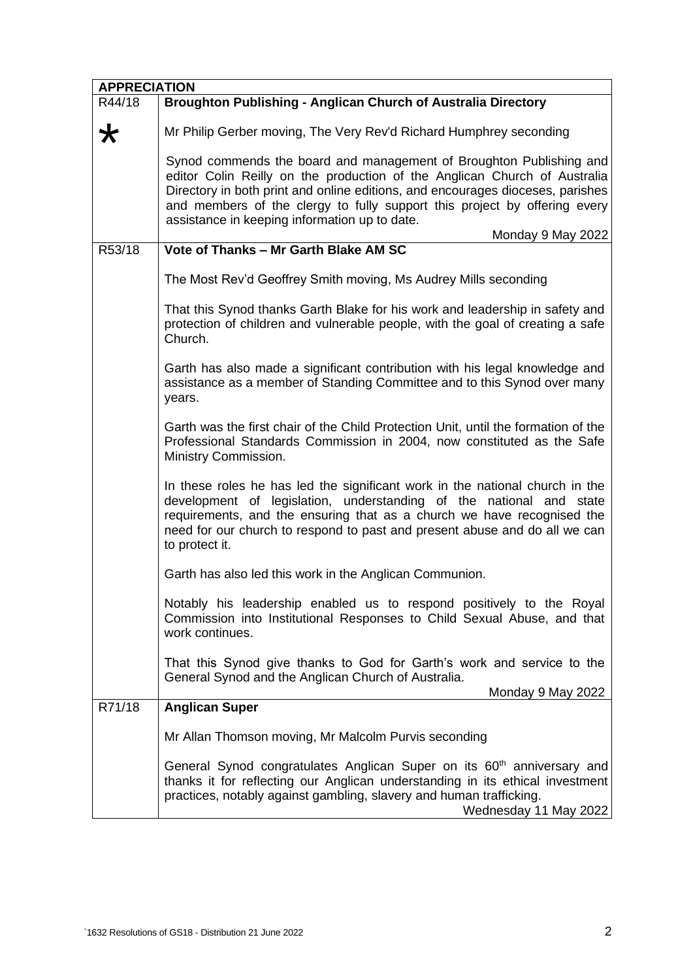| <b>APPRECIATION</b> |                                                                                                                                                                                                                                                                                                                                                                                       |
|---------------------|---------------------------------------------------------------------------------------------------------------------------------------------------------------------------------------------------------------------------------------------------------------------------------------------------------------------------------------------------------------------------------------|
| R44/18              | Broughton Publishing - Anglican Church of Australia Directory                                                                                                                                                                                                                                                                                                                         |
| ★                   | Mr Philip Gerber moving, The Very Rev'd Richard Humphrey seconding                                                                                                                                                                                                                                                                                                                    |
|                     | Synod commends the board and management of Broughton Publishing and<br>editor Colin Reilly on the production of the Anglican Church of Australia<br>Directory in both print and online editions, and encourages dioceses, parishes<br>and members of the clergy to fully support this project by offering every<br>assistance in keeping information up to date.<br>Monday 9 May 2022 |
| R53/18              | Vote of Thanks - Mr Garth Blake AM SC                                                                                                                                                                                                                                                                                                                                                 |
|                     | The Most Rev'd Geoffrey Smith moving, Ms Audrey Mills seconding                                                                                                                                                                                                                                                                                                                       |
|                     | That this Synod thanks Garth Blake for his work and leadership in safety and<br>protection of children and vulnerable people, with the goal of creating a safe<br>Church.                                                                                                                                                                                                             |
|                     | Garth has also made a significant contribution with his legal knowledge and<br>assistance as a member of Standing Committee and to this Synod over many<br>years.                                                                                                                                                                                                                     |
|                     | Garth was the first chair of the Child Protection Unit, until the formation of the<br>Professional Standards Commission in 2004, now constituted as the Safe<br>Ministry Commission.                                                                                                                                                                                                  |
|                     | In these roles he has led the significant work in the national church in the<br>development of legislation, understanding of the national and state<br>requirements, and the ensuring that as a church we have recognised the<br>need for our church to respond to past and present abuse and do all we can<br>to protect it.                                                         |
|                     | Garth has also led this work in the Anglican Communion.                                                                                                                                                                                                                                                                                                                               |
|                     | Notably his leadership enabled us to respond positively to the Royal<br>Commission into Institutional Responses to Child Sexual Abuse, and that<br>work continues.                                                                                                                                                                                                                    |
|                     | That this Synod give thanks to God for Garth's work and service to the<br>General Synod and the Anglican Church of Australia.                                                                                                                                                                                                                                                         |
|                     | Monday 9 May 2022                                                                                                                                                                                                                                                                                                                                                                     |
| R71/18              | <b>Anglican Super</b>                                                                                                                                                                                                                                                                                                                                                                 |
|                     | Mr Allan Thomson moving, Mr Malcolm Purvis seconding                                                                                                                                                                                                                                                                                                                                  |
|                     | General Synod congratulates Anglican Super on its 60 <sup>th</sup> anniversary and<br>thanks it for reflecting our Anglican understanding in its ethical investment<br>practices, notably against gambling, slavery and human trafficking.<br>Wednesday 11 May 2022                                                                                                                   |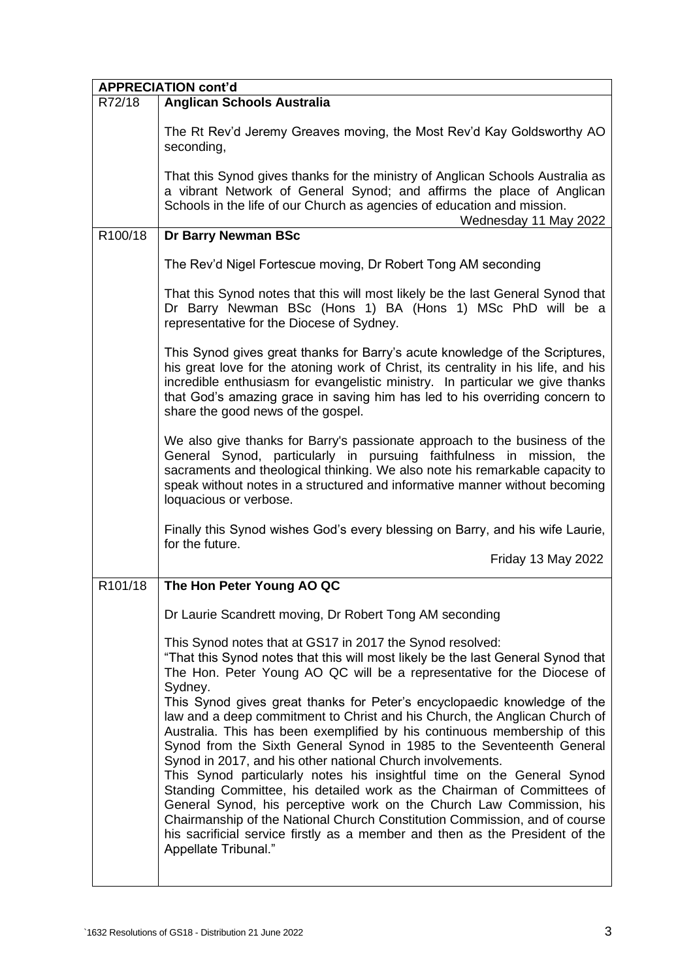| <b>APPRECIATION cont'd</b> |                                                                                                                                                                                                                                                                                                                                                                                                                                                                                                                                                                                                                                                                                                                                                                                              |  |
|----------------------------|----------------------------------------------------------------------------------------------------------------------------------------------------------------------------------------------------------------------------------------------------------------------------------------------------------------------------------------------------------------------------------------------------------------------------------------------------------------------------------------------------------------------------------------------------------------------------------------------------------------------------------------------------------------------------------------------------------------------------------------------------------------------------------------------|--|
| R72/18                     | <b>Anglican Schools Australia</b>                                                                                                                                                                                                                                                                                                                                                                                                                                                                                                                                                                                                                                                                                                                                                            |  |
|                            | The Rt Rev'd Jeremy Greaves moving, the Most Rev'd Kay Goldsworthy AO<br>seconding,                                                                                                                                                                                                                                                                                                                                                                                                                                                                                                                                                                                                                                                                                                          |  |
|                            | That this Synod gives thanks for the ministry of Anglican Schools Australia as<br>a vibrant Network of General Synod; and affirms the place of Anglican<br>Schools in the life of our Church as agencies of education and mission.<br>Wednesday 11 May 2022                                                                                                                                                                                                                                                                                                                                                                                                                                                                                                                                  |  |
| R100/18                    | Dr Barry Newman BSc                                                                                                                                                                                                                                                                                                                                                                                                                                                                                                                                                                                                                                                                                                                                                                          |  |
|                            | The Rev'd Nigel Fortescue moving, Dr Robert Tong AM seconding                                                                                                                                                                                                                                                                                                                                                                                                                                                                                                                                                                                                                                                                                                                                |  |
|                            | That this Synod notes that this will most likely be the last General Synod that<br>Dr Barry Newman BSc (Hons 1) BA (Hons 1) MSc PhD will be a<br>representative for the Diocese of Sydney.                                                                                                                                                                                                                                                                                                                                                                                                                                                                                                                                                                                                   |  |
|                            | This Synod gives great thanks for Barry's acute knowledge of the Scriptures,<br>his great love for the atoning work of Christ, its centrality in his life, and his<br>incredible enthusiasm for evangelistic ministry. In particular we give thanks<br>that God's amazing grace in saving him has led to his overriding concern to<br>share the good news of the gospel.                                                                                                                                                                                                                                                                                                                                                                                                                     |  |
|                            | We also give thanks for Barry's passionate approach to the business of the<br>General Synod, particularly in pursuing faithfulness in mission, the<br>sacraments and theological thinking. We also note his remarkable capacity to<br>speak without notes in a structured and informative manner without becoming<br>loquacious or verbose.                                                                                                                                                                                                                                                                                                                                                                                                                                                  |  |
|                            | Finally this Synod wishes God's every blessing on Barry, and his wife Laurie,<br>for the future.<br>Friday 13 May 2022                                                                                                                                                                                                                                                                                                                                                                                                                                                                                                                                                                                                                                                                       |  |
|                            |                                                                                                                                                                                                                                                                                                                                                                                                                                                                                                                                                                                                                                                                                                                                                                                              |  |
| R101/18                    | The Hon Peter Young AO QC                                                                                                                                                                                                                                                                                                                                                                                                                                                                                                                                                                                                                                                                                                                                                                    |  |
|                            | Dr Laurie Scandrett moving, Dr Robert Tong AM seconding                                                                                                                                                                                                                                                                                                                                                                                                                                                                                                                                                                                                                                                                                                                                      |  |
|                            | This Synod notes that at GS17 in 2017 the Synod resolved:<br>"That this Synod notes that this will most likely be the last General Synod that<br>The Hon. Peter Young AO QC will be a representative for the Diocese of<br>Sydney.                                                                                                                                                                                                                                                                                                                                                                                                                                                                                                                                                           |  |
|                            | This Synod gives great thanks for Peter's encyclopaedic knowledge of the<br>law and a deep commitment to Christ and his Church, the Anglican Church of<br>Australia. This has been exemplified by his continuous membership of this<br>Synod from the Sixth General Synod in 1985 to the Seventeenth General<br>Synod in 2017, and his other national Church involvements.<br>This Synod particularly notes his insightful time on the General Synod<br>Standing Committee, his detailed work as the Chairman of Committees of<br>General Synod, his perceptive work on the Church Law Commission, his<br>Chairmanship of the National Church Constitution Commission, and of course<br>his sacrificial service firstly as a member and then as the President of the<br>Appellate Tribunal." |  |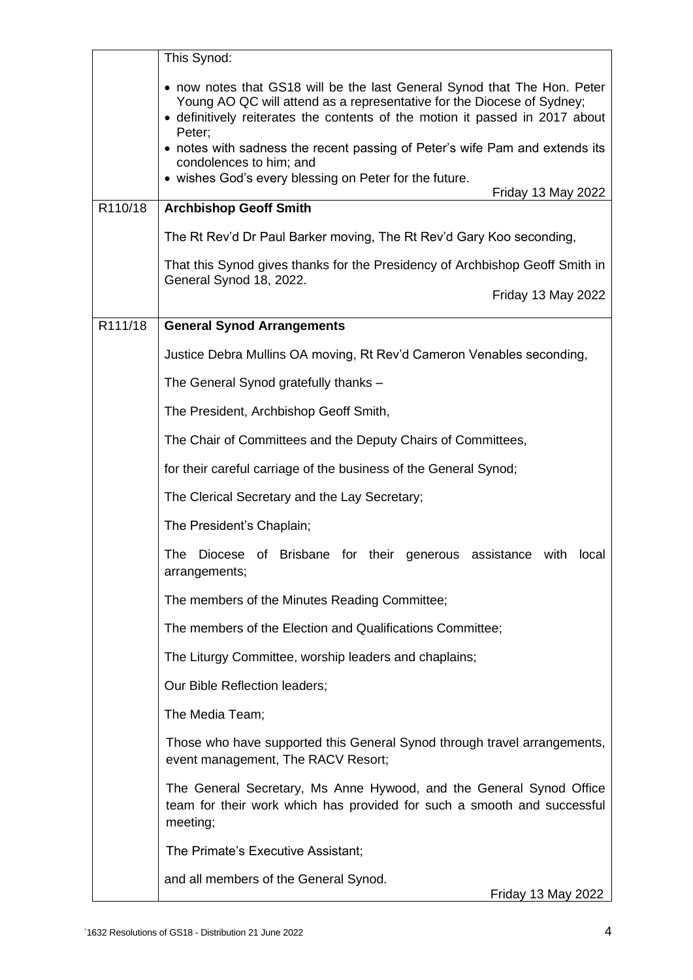|         | This Synod:                                                                                                                                                                                                                                  |
|---------|----------------------------------------------------------------------------------------------------------------------------------------------------------------------------------------------------------------------------------------------|
|         | • now notes that GS18 will be the last General Synod that The Hon. Peter<br>Young AO QC will attend as a representative for the Diocese of Sydney;<br>• definitively reiterates the contents of the motion it passed in 2017 about<br>Peter; |
|         | • notes with sadness the recent passing of Peter's wife Pam and extends its<br>condolences to him; and<br>• wishes God's every blessing on Peter for the future.                                                                             |
| R110/18 | Friday 13 May 2022<br><b>Archbishop Geoff Smith</b>                                                                                                                                                                                          |
|         | The Rt Rev'd Dr Paul Barker moving, The Rt Rev'd Gary Koo seconding,                                                                                                                                                                         |
|         | That this Synod gives thanks for the Presidency of Archbishop Geoff Smith in                                                                                                                                                                 |
|         | General Synod 18, 2022.<br>Friday 13 May 2022                                                                                                                                                                                                |
| R111/18 | <b>General Synod Arrangements</b>                                                                                                                                                                                                            |
|         | Justice Debra Mullins OA moving, Rt Rev'd Cameron Venables seconding,                                                                                                                                                                        |
|         | The General Synod gratefully thanks -                                                                                                                                                                                                        |
|         | The President, Archbishop Geoff Smith,                                                                                                                                                                                                       |
|         | The Chair of Committees and the Deputy Chairs of Committees,                                                                                                                                                                                 |
|         | for their careful carriage of the business of the General Synod;                                                                                                                                                                             |
|         | The Clerical Secretary and the Lay Secretary;                                                                                                                                                                                                |
|         | The President's Chaplain;                                                                                                                                                                                                                    |
|         | The Diocese of Brisbane for their generous assistance with local<br>arrangements;                                                                                                                                                            |
|         | The members of the Minutes Reading Committee;                                                                                                                                                                                                |
|         | The members of the Election and Qualifications Committee;                                                                                                                                                                                    |
|         | The Liturgy Committee, worship leaders and chaplains;                                                                                                                                                                                        |
|         | Our Bible Reflection leaders;                                                                                                                                                                                                                |
|         | The Media Team;                                                                                                                                                                                                                              |
|         | Those who have supported this General Synod through travel arrangements,<br>event management, The RACV Resort;                                                                                                                               |
|         | The General Secretary, Ms Anne Hywood, and the General Synod Office<br>team for their work which has provided for such a smooth and successful<br>meeting;                                                                                   |
|         | The Primate's Executive Assistant;                                                                                                                                                                                                           |
|         | and all members of the General Synod.<br>Friday 13 May 2022                                                                                                                                                                                  |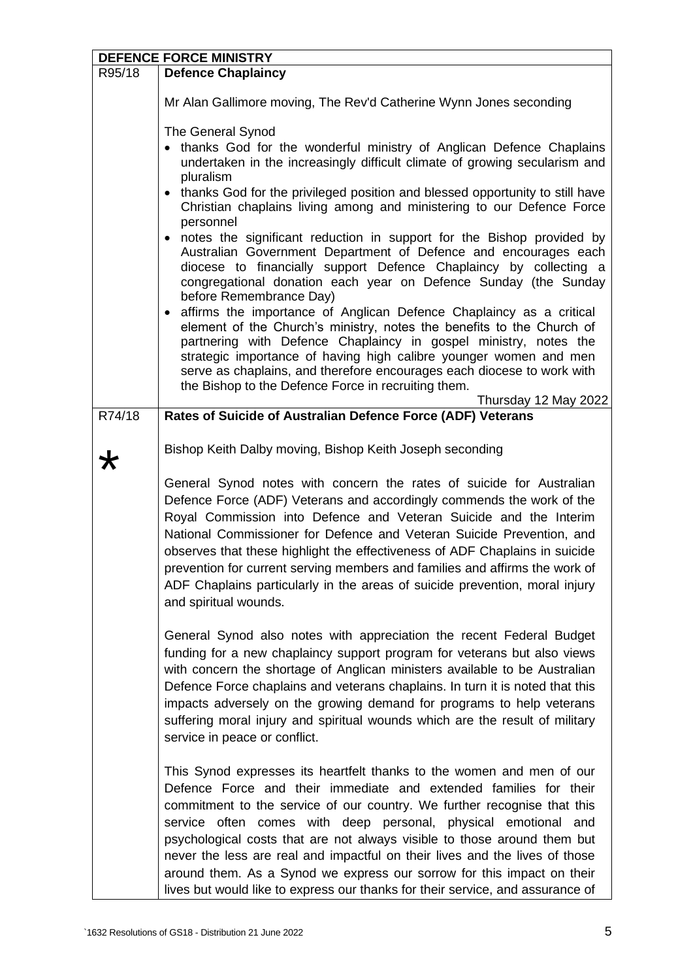| <b>DEFENCE FORCE MINISTRY</b> |                                                                                                                                                                                                                                                                                                                                                                                                                                                                                                                                                                                                                 |  |
|-------------------------------|-----------------------------------------------------------------------------------------------------------------------------------------------------------------------------------------------------------------------------------------------------------------------------------------------------------------------------------------------------------------------------------------------------------------------------------------------------------------------------------------------------------------------------------------------------------------------------------------------------------------|--|
| R95/18                        | <b>Defence Chaplaincy</b>                                                                                                                                                                                                                                                                                                                                                                                                                                                                                                                                                                                       |  |
|                               | Mr Alan Gallimore moving, The Rev'd Catherine Wynn Jones seconding                                                                                                                                                                                                                                                                                                                                                                                                                                                                                                                                              |  |
|                               | The General Synod<br>• thanks God for the wonderful ministry of Anglican Defence Chaplains<br>undertaken in the increasingly difficult climate of growing secularism and<br>pluralism<br>• thanks God for the privileged position and blessed opportunity to still have<br>Christian chaplains living among and ministering to our Defence Force                                                                                                                                                                                                                                                                |  |
|                               | personnel<br>• notes the significant reduction in support for the Bishop provided by<br>Australian Government Department of Defence and encourages each<br>diocese to financially support Defence Chaplaincy by collecting a<br>congregational donation each year on Defence Sunday (the Sunday<br>before Remembrance Day)                                                                                                                                                                                                                                                                                      |  |
|                               | affirms the importance of Anglican Defence Chaplaincy as a critical<br>$\bullet$<br>element of the Church's ministry, notes the benefits to the Church of<br>partnering with Defence Chaplaincy in gospel ministry, notes the<br>strategic importance of having high calibre younger women and men<br>serve as chaplains, and therefore encourages each diocese to work with<br>the Bishop to the Defence Force in recruiting them.                                                                                                                                                                             |  |
|                               | Thursday 12 May 2022                                                                                                                                                                                                                                                                                                                                                                                                                                                                                                                                                                                            |  |
| R74/18                        | Rates of Suicide of Australian Defence Force (ADF) Veterans                                                                                                                                                                                                                                                                                                                                                                                                                                                                                                                                                     |  |
| ★                             | Bishop Keith Dalby moving, Bishop Keith Joseph seconding                                                                                                                                                                                                                                                                                                                                                                                                                                                                                                                                                        |  |
|                               | General Synod notes with concern the rates of suicide for Australian<br>Defence Force (ADF) Veterans and accordingly commends the work of the<br>Royal Commission into Defence and Veteran Suicide and the Interim<br>National Commissioner for Defence and Veteran Suicide Prevention, and<br>observes that these highlight the effectiveness of ADF Chaplains in suicide<br>prevention for current serving members and families and affirms the work of<br>ADF Chaplains particularly in the areas of suicide prevention, moral injury<br>and spiritual wounds.                                               |  |
|                               | General Synod also notes with appreciation the recent Federal Budget<br>funding for a new chaplaincy support program for veterans but also views<br>with concern the shortage of Anglican ministers available to be Australian<br>Defence Force chaplains and veterans chaplains. In turn it is noted that this<br>impacts adversely on the growing demand for programs to help veterans<br>suffering moral injury and spiritual wounds which are the result of military<br>service in peace or conflict.                                                                                                       |  |
|                               | This Synod expresses its heartfelt thanks to the women and men of our<br>Defence Force and their immediate and extended families for their<br>commitment to the service of our country. We further recognise that this<br>service often comes with deep personal, physical emotional and<br>psychological costs that are not always visible to those around them but<br>never the less are real and impactful on their lives and the lives of those<br>around them. As a Synod we express our sorrow for this impact on their<br>lives but would like to express our thanks for their service, and assurance of |  |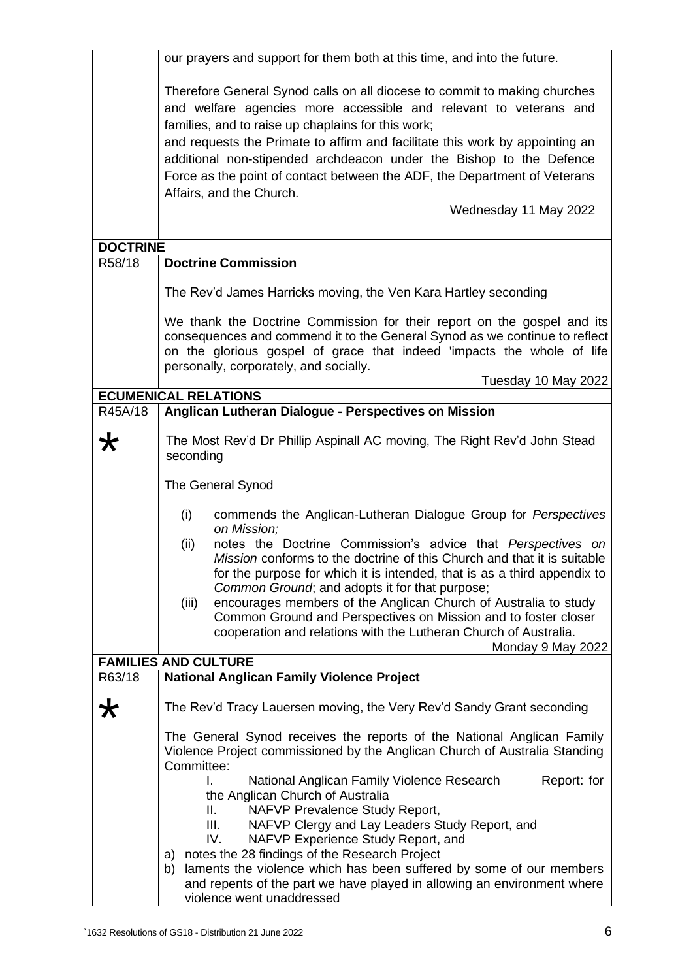|                 | our prayers and support for them both at this time, and into the future.                                                                                                                                                                                                                                                                                                                                                                                                                                            |
|-----------------|---------------------------------------------------------------------------------------------------------------------------------------------------------------------------------------------------------------------------------------------------------------------------------------------------------------------------------------------------------------------------------------------------------------------------------------------------------------------------------------------------------------------|
|                 | Therefore General Synod calls on all diocese to commit to making churches<br>and welfare agencies more accessible and relevant to veterans and<br>families, and to raise up chaplains for this work;<br>and requests the Primate to affirm and facilitate this work by appointing an<br>additional non-stipended archdeacon under the Bishop to the Defence<br>Force as the point of contact between the ADF, the Department of Veterans<br>Affairs, and the Church.<br>Wednesday 11 May 2022                       |
|                 |                                                                                                                                                                                                                                                                                                                                                                                                                                                                                                                     |
| <b>DOCTRINE</b> |                                                                                                                                                                                                                                                                                                                                                                                                                                                                                                                     |
| R58/18          | <b>Doctrine Commission</b>                                                                                                                                                                                                                                                                                                                                                                                                                                                                                          |
|                 | The Rev'd James Harricks moving, the Ven Kara Hartley seconding                                                                                                                                                                                                                                                                                                                                                                                                                                                     |
|                 | We thank the Doctrine Commission for their report on the gospel and its<br>consequences and commend it to the General Synod as we continue to reflect<br>on the glorious gospel of grace that indeed 'impacts the whole of life<br>personally, corporately, and socially.<br>Tuesday 10 May 2022                                                                                                                                                                                                                    |
|                 | <b>ECUMENICAL RELATIONS</b>                                                                                                                                                                                                                                                                                                                                                                                                                                                                                         |
| R45A/18         | Anglican Lutheran Dialogue - Perspectives on Mission                                                                                                                                                                                                                                                                                                                                                                                                                                                                |
| ₩               | The Most Rev'd Dr Phillip Aspinall AC moving, The Right Rev'd John Stead<br>seconding                                                                                                                                                                                                                                                                                                                                                                                                                               |
|                 | The General Synod                                                                                                                                                                                                                                                                                                                                                                                                                                                                                                   |
|                 | commends the Anglican-Lutheran Dialogue Group for Perspectives<br>(i)<br>on Mission;                                                                                                                                                                                                                                                                                                                                                                                                                                |
|                 | notes the Doctrine Commission's advice that Perspectives on<br>(ii)<br>Mission conforms to the doctrine of this Church and that it is suitable<br>for the purpose for which it is intended, that is as a third appendix to<br>Common Ground; and adopts it for that purpose;<br>encourages members of the Anglican Church of Australia to study<br>(iii)<br>Common Ground and Perspectives on Mission and to foster closer<br>cooperation and relations with the Lutheran Church of Australia.<br>Monday 9 May 2022 |
|                 | <b>FAMILIES AND CULTURE</b>                                                                                                                                                                                                                                                                                                                                                                                                                                                                                         |
| R63/18          | <b>National Anglican Family Violence Project</b>                                                                                                                                                                                                                                                                                                                                                                                                                                                                    |
| ★               | The Rev'd Tracy Lauersen moving, the Very Rev'd Sandy Grant seconding                                                                                                                                                                                                                                                                                                                                                                                                                                               |
|                 | The General Synod receives the reports of the National Anglican Family<br>Violence Project commissioned by the Anglican Church of Australia Standing<br>Committee:                                                                                                                                                                                                                                                                                                                                                  |
|                 | I.<br>National Anglican Family Violence Research<br>Report: for<br>the Anglican Church of Australia<br>NAFVP Prevalence Study Report,<br>Ш.<br>III.<br>NAFVP Clergy and Lay Leaders Study Report, and<br>IV.<br>NAFVP Experience Study Report, and<br>a) notes the 28 findings of the Research Project<br>laments the violence which has been suffered by some of our members<br>b)<br>and repents of the part we have played in allowing an environment where<br>violence went unaddressed                         |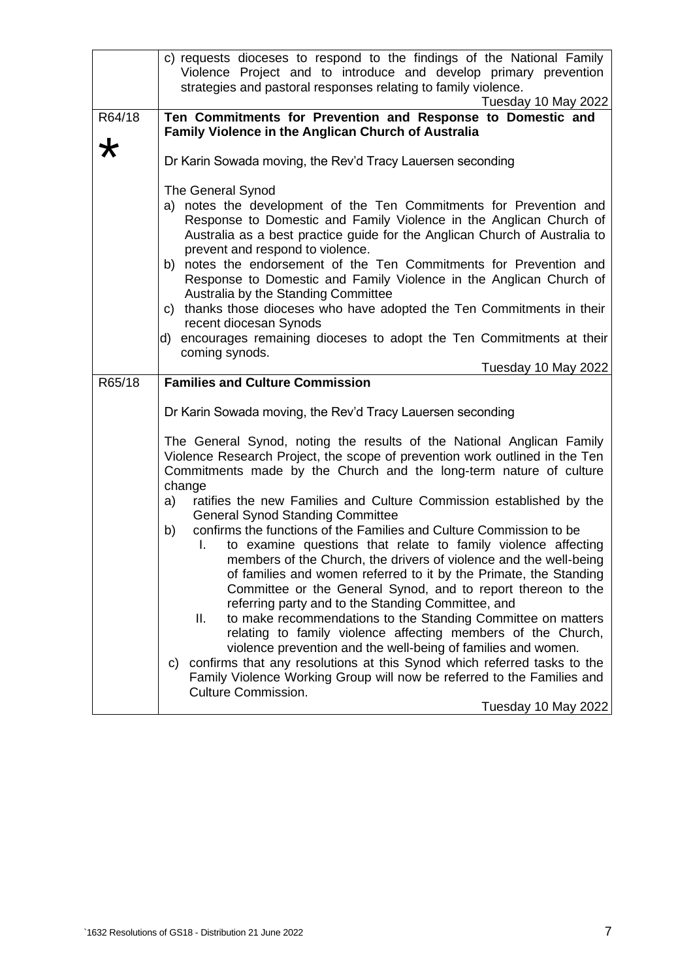|            | c) requests dioceses to respond to the findings of the National Family                                                                                                                                                               |
|------------|--------------------------------------------------------------------------------------------------------------------------------------------------------------------------------------------------------------------------------------|
|            | Violence Project and to introduce and develop primary prevention<br>strategies and pastoral responses relating to family violence.                                                                                                   |
|            | Tuesday 10 May 2022                                                                                                                                                                                                                  |
| R64/18     | Ten Commitments for Prevention and Response to Domestic and                                                                                                                                                                          |
|            | <b>Family Violence in the Anglican Church of Australia</b>                                                                                                                                                                           |
| $\bigstar$ |                                                                                                                                                                                                                                      |
|            | Dr Karin Sowada moving, the Rev'd Tracy Lauersen seconding                                                                                                                                                                           |
|            | The General Synod                                                                                                                                                                                                                    |
|            | a) notes the development of the Ten Commitments for Prevention and                                                                                                                                                                   |
|            | Response to Domestic and Family Violence in the Anglican Church of                                                                                                                                                                   |
|            | Australia as a best practice guide for the Anglican Church of Australia to                                                                                                                                                           |
|            | prevent and respond to violence.<br>b) notes the endorsement of the Ten Commitments for Prevention and                                                                                                                               |
|            | Response to Domestic and Family Violence in the Anglican Church of                                                                                                                                                                   |
|            | Australia by the Standing Committee                                                                                                                                                                                                  |
|            | c) thanks those dioceses who have adopted the Ten Commitments in their                                                                                                                                                               |
|            | recent diocesan Synods                                                                                                                                                                                                               |
|            | d) encourages remaining dioceses to adopt the Ten Commitments at their<br>coming synods.                                                                                                                                             |
|            | Tuesday 10 May 2022                                                                                                                                                                                                                  |
| R65/18     | <b>Families and Culture Commission</b>                                                                                                                                                                                               |
|            |                                                                                                                                                                                                                                      |
|            | Dr Karin Sowada moving, the Rev'd Tracy Lauersen seconding                                                                                                                                                                           |
|            | The General Synod, noting the results of the National Anglican Family<br>Violence Research Project, the scope of prevention work outlined in the Ten<br>Commitments made by the Church and the long-term nature of culture<br>change |
|            | ratifies the new Families and Culture Commission established by the<br>a)<br><b>General Synod Standing Committee</b>                                                                                                                 |
|            | confirms the functions of the Families and Culture Commission to be<br>b)                                                                                                                                                            |
|            | to examine questions that relate to family violence affecting<br>L.                                                                                                                                                                  |
|            | members of the Church, the drivers of violence and the well-being<br>of families and women referred to it by the Primate, the Standing                                                                                               |
|            | Committee or the General Synod, and to report thereon to the                                                                                                                                                                         |
|            | referring party and to the Standing Committee, and                                                                                                                                                                                   |
|            | Ш.<br>to make recommendations to the Standing Committee on matters                                                                                                                                                                   |
|            | relating to family violence affecting members of the Church,                                                                                                                                                                         |
|            | violence prevention and the well-being of families and women.<br>confirms that any resolutions at this Synod which referred tasks to the                                                                                             |
|            | C)<br>Family Violence Working Group will now be referred to the Families and                                                                                                                                                         |
|            | <b>Culture Commission.</b>                                                                                                                                                                                                           |
|            | Tuesday 10 May 2022                                                                                                                                                                                                                  |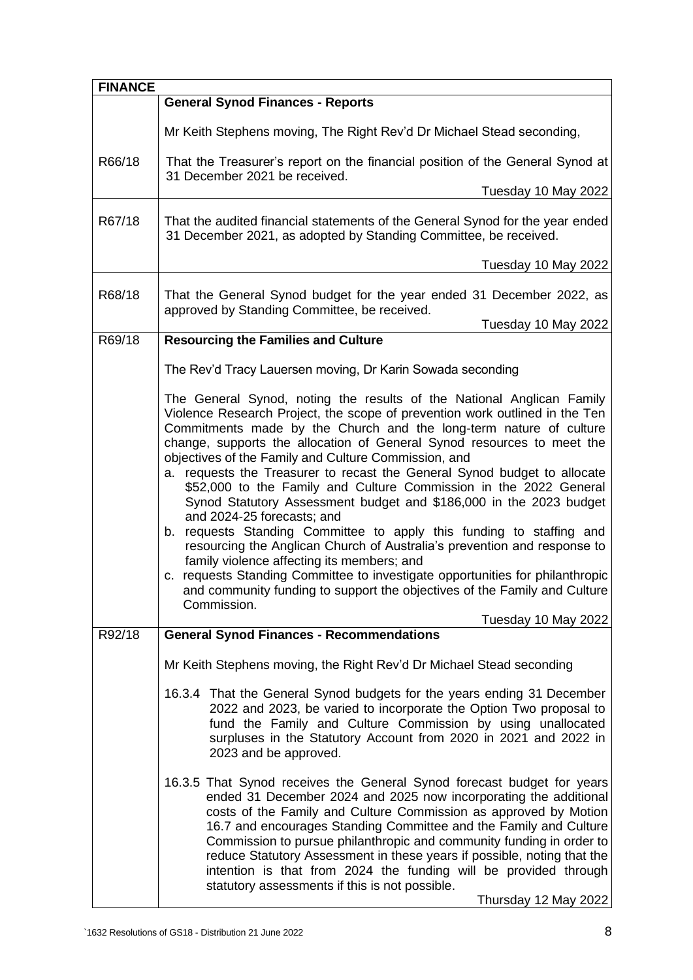| <b>FINANCE</b> |                                                                                                                                                                                                                                                                                                                                                                                                                                                                                                                                                                                      |  |
|----------------|--------------------------------------------------------------------------------------------------------------------------------------------------------------------------------------------------------------------------------------------------------------------------------------------------------------------------------------------------------------------------------------------------------------------------------------------------------------------------------------------------------------------------------------------------------------------------------------|--|
|                | <b>General Synod Finances - Reports</b>                                                                                                                                                                                                                                                                                                                                                                                                                                                                                                                                              |  |
|                | Mr Keith Stephens moving, The Right Rev'd Dr Michael Stead seconding,                                                                                                                                                                                                                                                                                                                                                                                                                                                                                                                |  |
| R66/18         | That the Treasurer's report on the financial position of the General Synod at<br>31 December 2021 be received.                                                                                                                                                                                                                                                                                                                                                                                                                                                                       |  |
|                | Tuesday 10 May 2022                                                                                                                                                                                                                                                                                                                                                                                                                                                                                                                                                                  |  |
| R67/18         | That the audited financial statements of the General Synod for the year ended<br>31 December 2021, as adopted by Standing Committee, be received.                                                                                                                                                                                                                                                                                                                                                                                                                                    |  |
|                | Tuesday 10 May 2022                                                                                                                                                                                                                                                                                                                                                                                                                                                                                                                                                                  |  |
| R68/18         | That the General Synod budget for the year ended 31 December 2022, as<br>approved by Standing Committee, be received.                                                                                                                                                                                                                                                                                                                                                                                                                                                                |  |
| R69/18         | Tuesday 10 May 2022<br><b>Resourcing the Families and Culture</b>                                                                                                                                                                                                                                                                                                                                                                                                                                                                                                                    |  |
|                |                                                                                                                                                                                                                                                                                                                                                                                                                                                                                                                                                                                      |  |
|                | The Rev'd Tracy Lauersen moving, Dr Karin Sowada seconding                                                                                                                                                                                                                                                                                                                                                                                                                                                                                                                           |  |
|                | The General Synod, noting the results of the National Anglican Family<br>Violence Research Project, the scope of prevention work outlined in the Ten<br>Commitments made by the Church and the long-term nature of culture<br>change, supports the allocation of General Synod resources to meet the<br>objectives of the Family and Culture Commission, and<br>a. requests the Treasurer to recast the General Synod budget to allocate                                                                                                                                             |  |
|                | \$52,000 to the Family and Culture Commission in the 2022 General<br>Synod Statutory Assessment budget and \$186,000 in the 2023 budget<br>and 2024-25 forecasts; and<br>b. requests Standing Committee to apply this funding to staffing and<br>resourcing the Anglican Church of Australia's prevention and response to                                                                                                                                                                                                                                                            |  |
|                | family violence affecting its members; and<br>c. requests Standing Committee to investigate opportunities for philanthropic<br>and community funding to support the objectives of the Family and Culture<br>Commission.                                                                                                                                                                                                                                                                                                                                                              |  |
| R92/18         | Tuesday 10 May 2022<br><b>General Synod Finances - Recommendations</b>                                                                                                                                                                                                                                                                                                                                                                                                                                                                                                               |  |
|                |                                                                                                                                                                                                                                                                                                                                                                                                                                                                                                                                                                                      |  |
|                | Mr Keith Stephens moving, the Right Rev'd Dr Michael Stead seconding                                                                                                                                                                                                                                                                                                                                                                                                                                                                                                                 |  |
|                | 16.3.4 That the General Synod budgets for the years ending 31 December<br>2022 and 2023, be varied to incorporate the Option Two proposal to<br>fund the Family and Culture Commission by using unallocated<br>surpluses in the Statutory Account from 2020 in 2021 and 2022 in<br>2023 and be approved.                                                                                                                                                                                                                                                                             |  |
|                | 16.3.5 That Synod receives the General Synod forecast budget for years<br>ended 31 December 2024 and 2025 now incorporating the additional<br>costs of the Family and Culture Commission as approved by Motion<br>16.7 and encourages Standing Committee and the Family and Culture<br>Commission to pursue philanthropic and community funding in order to<br>reduce Statutory Assessment in these years if possible, noting that the<br>intention is that from 2024 the funding will be provided through<br>statutory assessments if this is not possible.<br>Thursday 12 May 2022 |  |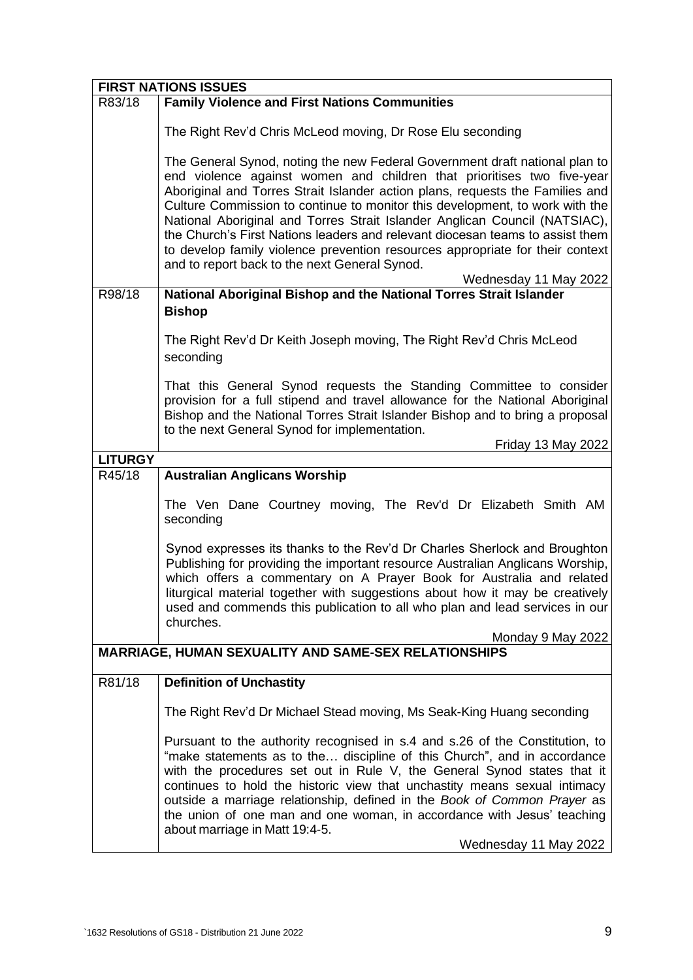| <b>FIRST NATIONS ISSUES</b>                                 |                                                                                                                                                                                                                                                                                                                                                                                                                                                                                                                                                                                                                                                  |  |
|-------------------------------------------------------------|--------------------------------------------------------------------------------------------------------------------------------------------------------------------------------------------------------------------------------------------------------------------------------------------------------------------------------------------------------------------------------------------------------------------------------------------------------------------------------------------------------------------------------------------------------------------------------------------------------------------------------------------------|--|
| R83/18                                                      | <b>Family Violence and First Nations Communities</b>                                                                                                                                                                                                                                                                                                                                                                                                                                                                                                                                                                                             |  |
|                                                             | The Right Rev'd Chris McLeod moving, Dr Rose Elu seconding                                                                                                                                                                                                                                                                                                                                                                                                                                                                                                                                                                                       |  |
|                                                             | The General Synod, noting the new Federal Government draft national plan to<br>end violence against women and children that prioritises two five-year<br>Aboriginal and Torres Strait Islander action plans, requests the Families and<br>Culture Commission to continue to monitor this development, to work with the<br>National Aboriginal and Torres Strait Islander Anglican Council (NATSIAC),<br>the Church's First Nations leaders and relevant diocesan teams to assist them<br>to develop family violence prevention resources appropriate for their context<br>and to report back to the next General Synod.<br>Wednesday 11 May 2022 |  |
| R98/18                                                      | National Aboriginal Bishop and the National Torres Strait Islander                                                                                                                                                                                                                                                                                                                                                                                                                                                                                                                                                                               |  |
|                                                             | <b>Bishop</b>                                                                                                                                                                                                                                                                                                                                                                                                                                                                                                                                                                                                                                    |  |
|                                                             | The Right Rev'd Dr Keith Joseph moving, The Right Rev'd Chris McLeod<br>seconding                                                                                                                                                                                                                                                                                                                                                                                                                                                                                                                                                                |  |
|                                                             | That this General Synod requests the Standing Committee to consider<br>provision for a full stipend and travel allowance for the National Aboriginal<br>Bishop and the National Torres Strait Islander Bishop and to bring a proposal<br>to the next General Synod for implementation.                                                                                                                                                                                                                                                                                                                                                           |  |
|                                                             | Friday 13 May 2022                                                                                                                                                                                                                                                                                                                                                                                                                                                                                                                                                                                                                               |  |
| <b>LITURGY</b>                                              |                                                                                                                                                                                                                                                                                                                                                                                                                                                                                                                                                                                                                                                  |  |
| R45/18                                                      | <b>Australian Anglicans Worship</b>                                                                                                                                                                                                                                                                                                                                                                                                                                                                                                                                                                                                              |  |
|                                                             | The Ven Dane Courtney moving, The Rev'd Dr Elizabeth Smith AM<br>seconding                                                                                                                                                                                                                                                                                                                                                                                                                                                                                                                                                                       |  |
|                                                             | Synod expresses its thanks to the Rev'd Dr Charles Sherlock and Broughton<br>Publishing for providing the important resource Australian Anglicans Worship,<br>which offers a commentary on A Prayer Book for Australia and related<br>liturgical material together with suggestions about how it may be creatively<br>used and commends this publication to all who plan and lead services in our<br>churches.<br>Monday 9 May 2022                                                                                                                                                                                                              |  |
| <b>MARRIAGE, HUMAN SEXUALITY AND SAME-SEX RELATIONSHIPS</b> |                                                                                                                                                                                                                                                                                                                                                                                                                                                                                                                                                                                                                                                  |  |
| R81/18                                                      | <b>Definition of Unchastity</b>                                                                                                                                                                                                                                                                                                                                                                                                                                                                                                                                                                                                                  |  |
|                                                             | The Right Rev'd Dr Michael Stead moving, Ms Seak-King Huang seconding                                                                                                                                                                                                                                                                                                                                                                                                                                                                                                                                                                            |  |
|                                                             | Pursuant to the authority recognised in s.4 and s.26 of the Constitution, to<br>"make statements as to the discipline of this Church", and in accordance<br>with the procedures set out in Rule V, the General Synod states that it<br>continues to hold the historic view that unchastity means sexual intimacy<br>outside a marriage relationship, defined in the Book of Common Prayer as<br>the union of one man and one woman, in accordance with Jesus' teaching<br>about marriage in Matt 19:4-5.<br>Wednesday 11 May 2022                                                                                                                |  |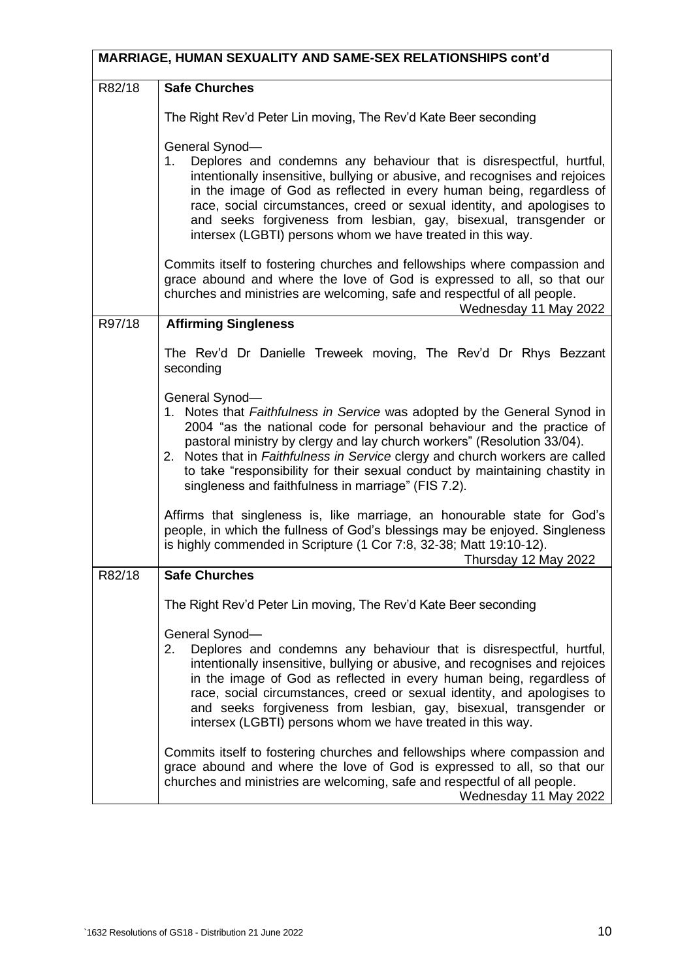| <b>MARRIAGE, HUMAN SEXUALITY AND SAME-SEX RELATIONSHIPS cont'd</b> |                                                                                                                                                                                                                                                                                                                                                                                                                                                                        |  |
|--------------------------------------------------------------------|------------------------------------------------------------------------------------------------------------------------------------------------------------------------------------------------------------------------------------------------------------------------------------------------------------------------------------------------------------------------------------------------------------------------------------------------------------------------|--|
| R82/18                                                             | <b>Safe Churches</b>                                                                                                                                                                                                                                                                                                                                                                                                                                                   |  |
|                                                                    | The Right Rev'd Peter Lin moving, The Rev'd Kate Beer seconding                                                                                                                                                                                                                                                                                                                                                                                                        |  |
|                                                                    | General Synod-<br>Deplores and condemns any behaviour that is disrespectful, hurtful,<br>1.<br>intentionally insensitive, bullying or abusive, and recognises and rejoices<br>in the image of God as reflected in every human being, regardless of<br>race, social circumstances, creed or sexual identity, and apologises to<br>and seeks forgiveness from lesbian, gay, bisexual, transgender or<br>intersex (LGBTI) persons whom we have treated in this way.       |  |
|                                                                    | Commits itself to fostering churches and fellowships where compassion and<br>grace abound and where the love of God is expressed to all, so that our<br>churches and ministries are welcoming, safe and respectful of all people.<br>Wednesday 11 May 2022                                                                                                                                                                                                             |  |
| R97/18                                                             | <b>Affirming Singleness</b>                                                                                                                                                                                                                                                                                                                                                                                                                                            |  |
|                                                                    | The Rev'd Dr Danielle Treweek moving, The Rev'd Dr Rhys Bezzant<br>seconding                                                                                                                                                                                                                                                                                                                                                                                           |  |
|                                                                    | General Synod-<br>1. Notes that Faithfulness in Service was adopted by the General Synod in<br>2004 "as the national code for personal behaviour and the practice of<br>pastoral ministry by clergy and lay church workers" (Resolution 33/04).<br>2. Notes that in Faithfulness in Service clergy and church workers are called<br>to take "responsibility for their sexual conduct by maintaining chastity in<br>singleness and faithfulness in marriage" (FIS 7.2). |  |
|                                                                    | Affirms that singleness is, like marriage, an honourable state for God's<br>people, in which the fullness of God's blessings may be enjoyed. Singleness<br>is highly commended in Scripture (1 Cor 7:8, 32-38; Matt 19:10-12).<br>Thursday 12 May 2022                                                                                                                                                                                                                 |  |
| R82/18                                                             | <b>Safe Churches</b>                                                                                                                                                                                                                                                                                                                                                                                                                                                   |  |
|                                                                    | The Right Rev'd Peter Lin moving, The Rev'd Kate Beer seconding                                                                                                                                                                                                                                                                                                                                                                                                        |  |
|                                                                    | General Synod-<br>Deplores and condemns any behaviour that is disrespectful, hurtful,<br>2.<br>intentionally insensitive, bullying or abusive, and recognises and rejoices<br>in the image of God as reflected in every human being, regardless of<br>race, social circumstances, creed or sexual identity, and apologises to<br>and seeks forgiveness from lesbian, gay, bisexual, transgender or<br>intersex (LGBTI) persons whom we have treated in this way.       |  |
|                                                                    | Commits itself to fostering churches and fellowships where compassion and<br>grace abound and where the love of God is expressed to all, so that our<br>churches and ministries are welcoming, safe and respectful of all people.<br>Wednesday 11 May 2022                                                                                                                                                                                                             |  |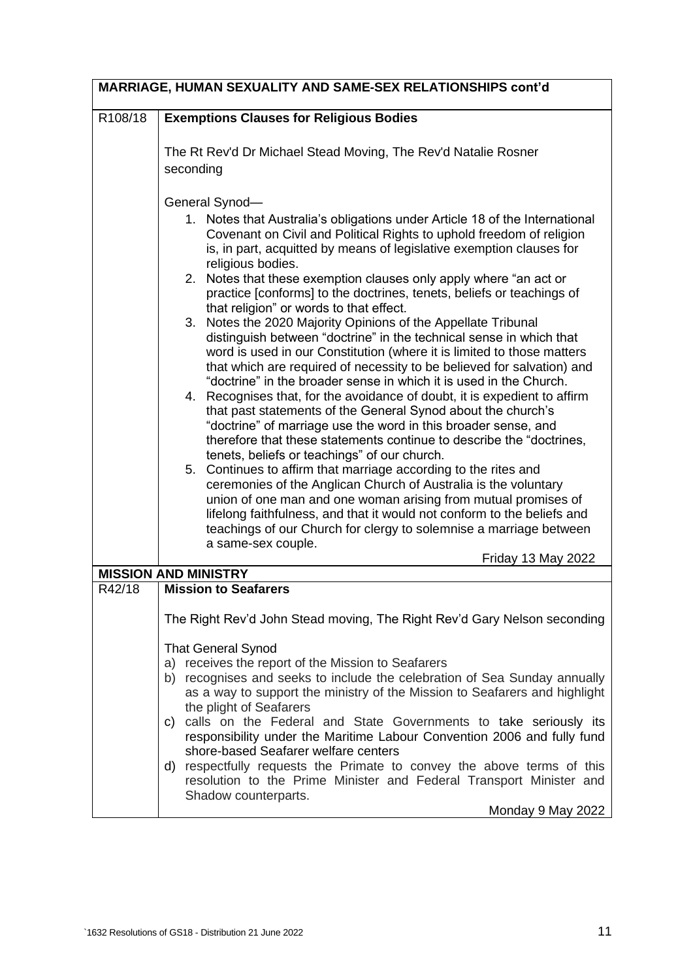|         | MARRIAGE, HUMAN SEXUALITY AND SAME-SEX RELATIONSHIPS cont'd                                                                                                                                                                                                                                                                                                                                                                                                                                                                                                                                                                                                                                                                                                                                                                                                                                                                                                                                                                                                                                                                                                                                                                                                                                                                                                                                                                                                                                                                                            |
|---------|--------------------------------------------------------------------------------------------------------------------------------------------------------------------------------------------------------------------------------------------------------------------------------------------------------------------------------------------------------------------------------------------------------------------------------------------------------------------------------------------------------------------------------------------------------------------------------------------------------------------------------------------------------------------------------------------------------------------------------------------------------------------------------------------------------------------------------------------------------------------------------------------------------------------------------------------------------------------------------------------------------------------------------------------------------------------------------------------------------------------------------------------------------------------------------------------------------------------------------------------------------------------------------------------------------------------------------------------------------------------------------------------------------------------------------------------------------------------------------------------------------------------------------------------------------|
| R108/18 | <b>Exemptions Clauses for Religious Bodies</b>                                                                                                                                                                                                                                                                                                                                                                                                                                                                                                                                                                                                                                                                                                                                                                                                                                                                                                                                                                                                                                                                                                                                                                                                                                                                                                                                                                                                                                                                                                         |
|         | The Rt Rev'd Dr Michael Stead Moving, The Rev'd Natalie Rosner<br>seconding                                                                                                                                                                                                                                                                                                                                                                                                                                                                                                                                                                                                                                                                                                                                                                                                                                                                                                                                                                                                                                                                                                                                                                                                                                                                                                                                                                                                                                                                            |
|         | General Synod-<br>1. Notes that Australia's obligations under Article 18 of the International<br>Covenant on Civil and Political Rights to uphold freedom of religion<br>is, in part, acquitted by means of legislative exemption clauses for<br>religious bodies.<br>2. Notes that these exemption clauses only apply where "an act or<br>practice [conforms] to the doctrines, tenets, beliefs or teachings of<br>that religion" or words to that effect.<br>Notes the 2020 Majority Opinions of the Appellate Tribunal<br>3.<br>distinguish between "doctrine" in the technical sense in which that<br>word is used in our Constitution (where it is limited to those matters<br>that which are required of necessity to be believed for salvation) and<br>"doctrine" in the broader sense in which it is used in the Church.<br>4. Recognises that, for the avoidance of doubt, it is expedient to affirm<br>that past statements of the General Synod about the church's<br>"doctrine" of marriage use the word in this broader sense, and<br>therefore that these statements continue to describe the "doctrines,<br>tenets, beliefs or teachings" of our church.<br>5. Continues to affirm that marriage according to the rites and<br>ceremonies of the Anglican Church of Australia is the voluntary<br>union of one man and one woman arising from mutual promises of<br>lifelong faithfulness, and that it would not conform to the beliefs and<br>teachings of our Church for clergy to solemnise a marriage between<br>a same-sex couple. |
|         | <b>Friday 13 May 2022</b><br><b>MISSION AND MINISTRY</b>                                                                                                                                                                                                                                                                                                                                                                                                                                                                                                                                                                                                                                                                                                                                                                                                                                                                                                                                                                                                                                                                                                                                                                                                                                                                                                                                                                                                                                                                                               |
| R42/18  | <b>Mission to Seafarers</b>                                                                                                                                                                                                                                                                                                                                                                                                                                                                                                                                                                                                                                                                                                                                                                                                                                                                                                                                                                                                                                                                                                                                                                                                                                                                                                                                                                                                                                                                                                                            |
|         | The Right Rev'd John Stead moving, The Right Rev'd Gary Nelson seconding                                                                                                                                                                                                                                                                                                                                                                                                                                                                                                                                                                                                                                                                                                                                                                                                                                                                                                                                                                                                                                                                                                                                                                                                                                                                                                                                                                                                                                                                               |
|         | <b>That General Synod</b><br>a) receives the report of the Mission to Seafarers<br>b) recognises and seeks to include the celebration of Sea Sunday annually<br>as a way to support the ministry of the Mission to Seafarers and highlight<br>the plight of Seafarers<br>c) calls on the Federal and State Governments to take seriously its<br>responsibility under the Maritime Labour Convention 2006 and fully fund<br>shore-based Seafarer welfare centers                                                                                                                                                                                                                                                                                                                                                                                                                                                                                                                                                                                                                                                                                                                                                                                                                                                                                                                                                                                                                                                                                        |
|         | d) respectfully requests the Primate to convey the above terms of this<br>resolution to the Prime Minister and Federal Transport Minister and<br>Shadow counterparts.<br>Monday 9 May 2022                                                                                                                                                                                                                                                                                                                                                                                                                                                                                                                                                                                                                                                                                                                                                                                                                                                                                                                                                                                                                                                                                                                                                                                                                                                                                                                                                             |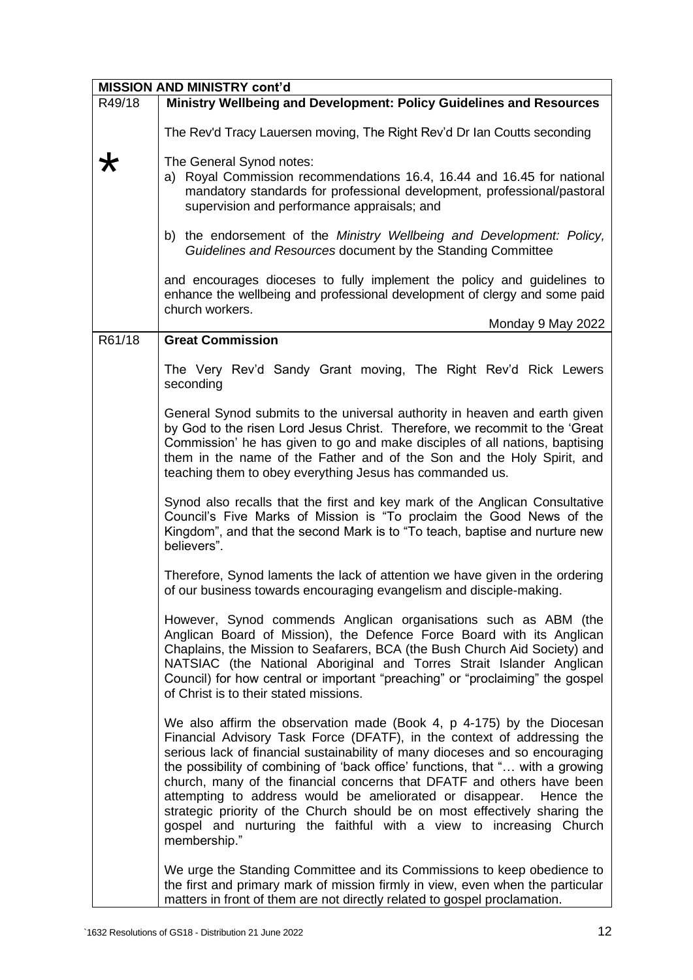| <b>MISSION AND MINISTRY cont'd</b> |                                                                                                                                                                                                                                                                                                                                                                                                                                                                                                                                                                                                                                           |  |
|------------------------------------|-------------------------------------------------------------------------------------------------------------------------------------------------------------------------------------------------------------------------------------------------------------------------------------------------------------------------------------------------------------------------------------------------------------------------------------------------------------------------------------------------------------------------------------------------------------------------------------------------------------------------------------------|--|
| R49/18                             | Ministry Wellbeing and Development: Policy Guidelines and Resources                                                                                                                                                                                                                                                                                                                                                                                                                                                                                                                                                                       |  |
|                                    | The Rev'd Tracy Lauersen moving, The Right Rev'd Dr Ian Coutts seconding                                                                                                                                                                                                                                                                                                                                                                                                                                                                                                                                                                  |  |
|                                    | The General Synod notes:<br>a) Royal Commission recommendations 16.4, 16.44 and 16.45 for national<br>mandatory standards for professional development, professional/pastoral<br>supervision and performance appraisals; and                                                                                                                                                                                                                                                                                                                                                                                                              |  |
|                                    | b) the endorsement of the Ministry Wellbeing and Development: Policy,<br>Guidelines and Resources document by the Standing Committee                                                                                                                                                                                                                                                                                                                                                                                                                                                                                                      |  |
|                                    | and encourages dioceses to fully implement the policy and guidelines to<br>enhance the wellbeing and professional development of clergy and some paid<br>church workers.                                                                                                                                                                                                                                                                                                                                                                                                                                                                  |  |
|                                    | Monday 9 May 2022                                                                                                                                                                                                                                                                                                                                                                                                                                                                                                                                                                                                                         |  |
| R61/18                             | <b>Great Commission</b>                                                                                                                                                                                                                                                                                                                                                                                                                                                                                                                                                                                                                   |  |
|                                    | The Very Rev'd Sandy Grant moving, The Right Rev'd Rick Lewers<br>seconding                                                                                                                                                                                                                                                                                                                                                                                                                                                                                                                                                               |  |
|                                    | General Synod submits to the universal authority in heaven and earth given<br>by God to the risen Lord Jesus Christ. Therefore, we recommit to the 'Great<br>Commission' he has given to go and make disciples of all nations, baptising<br>them in the name of the Father and of the Son and the Holy Spirit, and<br>teaching them to obey everything Jesus has commanded us.                                                                                                                                                                                                                                                            |  |
|                                    | Synod also recalls that the first and key mark of the Anglican Consultative<br>Council's Five Marks of Mission is "To proclaim the Good News of the<br>Kingdom", and that the second Mark is to "To teach, baptise and nurture new<br>believers".                                                                                                                                                                                                                                                                                                                                                                                         |  |
|                                    | Therefore, Synod laments the lack of attention we have given in the ordering<br>of our business towards encouraging evangelism and disciple-making.                                                                                                                                                                                                                                                                                                                                                                                                                                                                                       |  |
|                                    | However, Synod commends Anglican organisations such as ABM (the<br>Anglican Board of Mission), the Defence Force Board with its Anglican<br>Chaplains, the Mission to Seafarers, BCA (the Bush Church Aid Society) and<br>NATSIAC (the National Aboriginal and Torres Strait Islander Anglican<br>Council) for how central or important "preaching" or "proclaiming" the gospel<br>of Christ is to their stated missions.                                                                                                                                                                                                                 |  |
|                                    | We also affirm the observation made (Book 4, p 4-175) by the Diocesan<br>Financial Advisory Task Force (DFATF), in the context of addressing the<br>serious lack of financial sustainability of many dioceses and so encouraging<br>the possibility of combining of 'back office' functions, that " with a growing<br>church, many of the financial concerns that DFATF and others have been<br>attempting to address would be ameliorated or disappear.<br>Hence the<br>strategic priority of the Church should be on most effectively sharing the<br>gospel and nurturing the faithful with a view to increasing Church<br>membership." |  |
|                                    | We urge the Standing Committee and its Commissions to keep obedience to<br>the first and primary mark of mission firmly in view, even when the particular<br>matters in front of them are not directly related to gospel proclamation.                                                                                                                                                                                                                                                                                                                                                                                                    |  |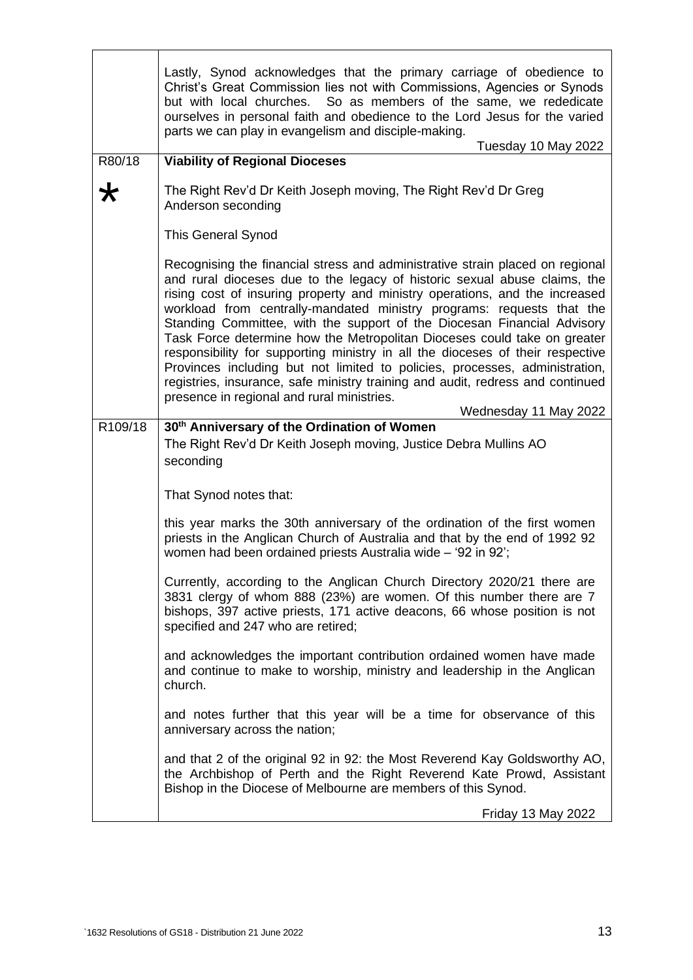|         | Lastly, Synod acknowledges that the primary carriage of obedience to<br>Christ's Great Commission lies not with Commissions, Agencies or Synods<br>but with local churches. So as members of the same, we rededicate<br>ourselves in personal faith and obedience to the Lord Jesus for the varied<br>parts we can play in evangelism and disciple-making.<br>Tuesday 10 May 2022                                                                                                                                                                                                                                                                                                                                                                                                                   |
|---------|-----------------------------------------------------------------------------------------------------------------------------------------------------------------------------------------------------------------------------------------------------------------------------------------------------------------------------------------------------------------------------------------------------------------------------------------------------------------------------------------------------------------------------------------------------------------------------------------------------------------------------------------------------------------------------------------------------------------------------------------------------------------------------------------------------|
| R80/18  | <b>Viability of Regional Dioceses</b>                                                                                                                                                                                                                                                                                                                                                                                                                                                                                                                                                                                                                                                                                                                                                               |
| ₩       | The Right Rev'd Dr Keith Joseph moving, The Right Rev'd Dr Greg<br>Anderson seconding                                                                                                                                                                                                                                                                                                                                                                                                                                                                                                                                                                                                                                                                                                               |
|         | <b>This General Synod</b>                                                                                                                                                                                                                                                                                                                                                                                                                                                                                                                                                                                                                                                                                                                                                                           |
|         | Recognising the financial stress and administrative strain placed on regional<br>and rural dioceses due to the legacy of historic sexual abuse claims, the<br>rising cost of insuring property and ministry operations, and the increased<br>workload from centrally-mandated ministry programs: requests that the<br>Standing Committee, with the support of the Diocesan Financial Advisory<br>Task Force determine how the Metropolitan Dioceses could take on greater<br>responsibility for supporting ministry in all the dioceses of their respective<br>Provinces including but not limited to policies, processes, administration,<br>registries, insurance, safe ministry training and audit, redress and continued<br>presence in regional and rural ministries.<br>Wednesday 11 May 2022 |
| R109/18 | 30 <sup>th</sup> Anniversary of the Ordination of Women                                                                                                                                                                                                                                                                                                                                                                                                                                                                                                                                                                                                                                                                                                                                             |
|         | The Right Rev'd Dr Keith Joseph moving, Justice Debra Mullins AO<br>seconding                                                                                                                                                                                                                                                                                                                                                                                                                                                                                                                                                                                                                                                                                                                       |
|         | That Synod notes that:                                                                                                                                                                                                                                                                                                                                                                                                                                                                                                                                                                                                                                                                                                                                                                              |
|         | this year marks the 30th anniversary of the ordination of the first women<br>priests in the Anglican Church of Australia and that by the end of 1992 92<br>women had been ordained priests Australia wide - '92 in 92';                                                                                                                                                                                                                                                                                                                                                                                                                                                                                                                                                                             |
|         | Currently, according to the Anglican Church Directory 2020/21 there are<br>3831 clergy of whom 888 (23%) are women. Of this number there are 7<br>bishops, 397 active priests, 171 active deacons, 66 whose position is not<br>specified and 247 who are retired;                                                                                                                                                                                                                                                                                                                                                                                                                                                                                                                                   |
|         | and acknowledges the important contribution ordained women have made<br>and continue to make to worship, ministry and leadership in the Anglican<br>church.                                                                                                                                                                                                                                                                                                                                                                                                                                                                                                                                                                                                                                         |
|         | and notes further that this year will be a time for observance of this<br>anniversary across the nation;                                                                                                                                                                                                                                                                                                                                                                                                                                                                                                                                                                                                                                                                                            |
|         | and that 2 of the original 92 in 92: the Most Reverend Kay Goldsworthy AO,<br>the Archbishop of Perth and the Right Reverend Kate Prowd, Assistant<br>Bishop in the Diocese of Melbourne are members of this Synod.                                                                                                                                                                                                                                                                                                                                                                                                                                                                                                                                                                                 |
|         | <b>Friday 13 May 2022</b>                                                                                                                                                                                                                                                                                                                                                                                                                                                                                                                                                                                                                                                                                                                                                                           |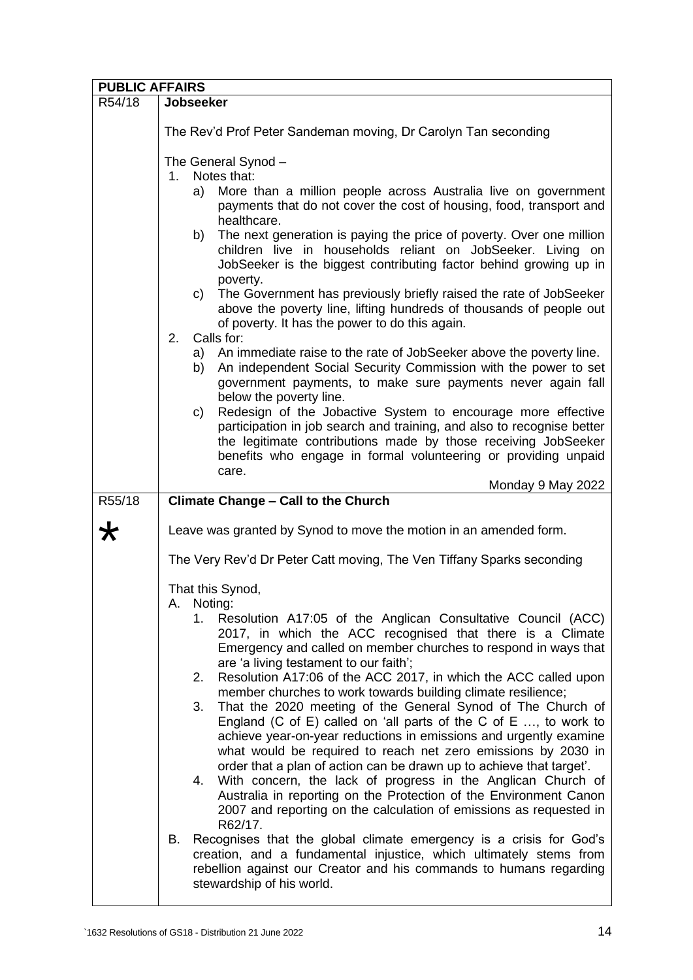| <b>PUBLIC AFFAIRS</b> |                                                                                                                                                                                                                                                                                                                                                                                                                                                                                                                                                                                                                                                                                                                                                                                                                                                                                                                                                                                                                                                                                                                                                                                                                                                                         |  |
|-----------------------|-------------------------------------------------------------------------------------------------------------------------------------------------------------------------------------------------------------------------------------------------------------------------------------------------------------------------------------------------------------------------------------------------------------------------------------------------------------------------------------------------------------------------------------------------------------------------------------------------------------------------------------------------------------------------------------------------------------------------------------------------------------------------------------------------------------------------------------------------------------------------------------------------------------------------------------------------------------------------------------------------------------------------------------------------------------------------------------------------------------------------------------------------------------------------------------------------------------------------------------------------------------------------|--|
| R54/18                | Jobseeker                                                                                                                                                                                                                                                                                                                                                                                                                                                                                                                                                                                                                                                                                                                                                                                                                                                                                                                                                                                                                                                                                                                                                                                                                                                               |  |
|                       | The Rev'd Prof Peter Sandeman moving, Dr Carolyn Tan seconding                                                                                                                                                                                                                                                                                                                                                                                                                                                                                                                                                                                                                                                                                                                                                                                                                                                                                                                                                                                                                                                                                                                                                                                                          |  |
|                       | The General Synod -<br>Notes that:<br>$1_{-}$<br>More than a million people across Australia live on government<br>a)<br>payments that do not cover the cost of housing, food, transport and<br>healthcare.<br>The next generation is paying the price of poverty. Over one million<br>b)<br>children live in households reliant on JobSeeker. Living on<br>JobSeeker is the biggest contributing factor behind growing up in<br>poverty.<br>The Government has previously briefly raised the rate of JobSeeker<br>C)<br>above the poverty line, lifting hundreds of thousands of people out<br>of poverty. It has the power to do this again.<br>Calls for:<br>2.<br>a) An immediate raise to the rate of JobSeeker above the poverty line.<br>An independent Social Security Commission with the power to set<br>b)<br>government payments, to make sure payments never again fall<br>below the poverty line.<br>Redesign of the Jobactive System to encourage more effective<br>C)<br>participation in job search and training, and also to recognise better<br>the legitimate contributions made by those receiving JobSeeker<br>benefits who engage in formal volunteering or providing unpaid<br>care.                                                            |  |
| R55/18                | Monday 9 May 2022<br><b>Climate Change - Call to the Church</b>                                                                                                                                                                                                                                                                                                                                                                                                                                                                                                                                                                                                                                                                                                                                                                                                                                                                                                                                                                                                                                                                                                                                                                                                         |  |
| Ж                     | Leave was granted by Synod to move the motion in an amended form.                                                                                                                                                                                                                                                                                                                                                                                                                                                                                                                                                                                                                                                                                                                                                                                                                                                                                                                                                                                                                                                                                                                                                                                                       |  |
|                       | The Very Rev'd Dr Peter Catt moving, The Ven Tiffany Sparks seconding                                                                                                                                                                                                                                                                                                                                                                                                                                                                                                                                                                                                                                                                                                                                                                                                                                                                                                                                                                                                                                                                                                                                                                                                   |  |
|                       | That this Synod,<br>Noting:<br>А.<br>1. Resolution A17:05 of the Anglican Consultative Council (ACC)<br>2017, in which the ACC recognised that there is a Climate<br>Emergency and called on member churches to respond in ways that<br>are 'a living testament to our faith';<br>Resolution A17:06 of the ACC 2017, in which the ACC called upon<br>2.<br>member churches to work towards building climate resilience;<br>That the 2020 meeting of the General Synod of The Church of<br>3.<br>England (C of E) called on 'all parts of the C of E $\dots$ , to work to<br>achieve year-on-year reductions in emissions and urgently examine<br>what would be required to reach net zero emissions by 2030 in<br>order that a plan of action can be drawn up to achieve that target'.<br>With concern, the lack of progress in the Anglican Church of<br>4.<br>Australia in reporting on the Protection of the Environment Canon<br>2007 and reporting on the calculation of emissions as requested in<br>R62/17.<br>Recognises that the global climate emergency is a crisis for God's<br>В.<br>creation, and a fundamental injustice, which ultimately stems from<br>rebellion against our Creator and his commands to humans regarding<br>stewardship of his world. |  |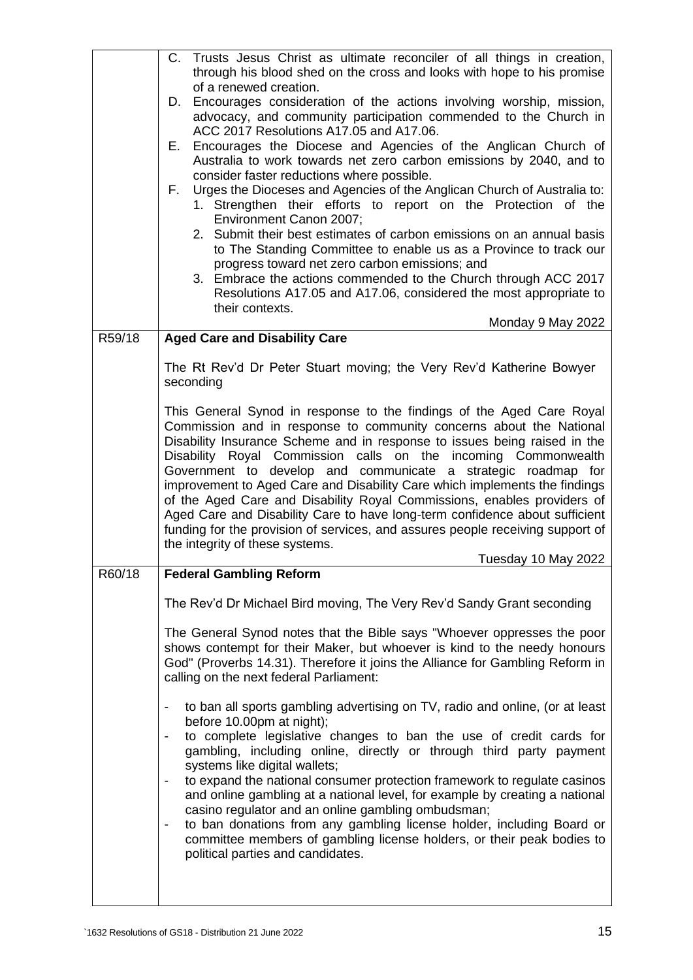|        | Trusts Jesus Christ as ultimate reconciler of all things in creation,<br>C.<br>through his blood shed on the cross and looks with hope to his promise<br>of a renewed creation.<br>Encourages consideration of the actions involving worship, mission,<br>D.<br>advocacy, and community participation commended to the Church in<br>ACC 2017 Resolutions A17.05 and A17.06.<br>Encourages the Diocese and Agencies of the Anglican Church of<br>Е.<br>Australia to work towards net zero carbon emissions by 2040, and to<br>consider faster reductions where possible.<br>Urges the Dioceses and Agencies of the Anglican Church of Australia to:<br>F.<br>1. Strengthen their efforts to report on the Protection of the<br>Environment Canon 2007;<br>2. Submit their best estimates of carbon emissions on an annual basis<br>to The Standing Committee to enable us as a Province to track our<br>progress toward net zero carbon emissions; and<br>3. Embrace the actions commended to the Church through ACC 2017 |
|--------|--------------------------------------------------------------------------------------------------------------------------------------------------------------------------------------------------------------------------------------------------------------------------------------------------------------------------------------------------------------------------------------------------------------------------------------------------------------------------------------------------------------------------------------------------------------------------------------------------------------------------------------------------------------------------------------------------------------------------------------------------------------------------------------------------------------------------------------------------------------------------------------------------------------------------------------------------------------------------------------------------------------------------|
|        | Resolutions A17.05 and A17.06, considered the most appropriate to<br>their contexts.<br>Monday 9 May 2022                                                                                                                                                                                                                                                                                                                                                                                                                                                                                                                                                                                                                                                                                                                                                                                                                                                                                                                |
| R59/18 | <b>Aged Care and Disability Care</b>                                                                                                                                                                                                                                                                                                                                                                                                                                                                                                                                                                                                                                                                                                                                                                                                                                                                                                                                                                                     |
|        | The Rt Rev'd Dr Peter Stuart moving; the Very Rev'd Katherine Bowyer<br>seconding                                                                                                                                                                                                                                                                                                                                                                                                                                                                                                                                                                                                                                                                                                                                                                                                                                                                                                                                        |
|        | This General Synod in response to the findings of the Aged Care Royal<br>Commission and in response to community concerns about the National<br>Disability Insurance Scheme and in response to issues being raised in the<br>Disability Royal Commission calls on the incoming Commonwealth<br>Government to develop and communicate a strategic roadmap for<br>improvement to Aged Care and Disability Care which implements the findings<br>of the Aged Care and Disability Royal Commissions, enables providers of<br>Aged Care and Disability Care to have long-term confidence about sufficient<br>funding for the provision of services, and assures people receiving support of<br>the integrity of these systems.<br>Tuesday 10 May 2022                                                                                                                                                                                                                                                                         |
| R60/18 | <b>Federal Gambling Reform</b>                                                                                                                                                                                                                                                                                                                                                                                                                                                                                                                                                                                                                                                                                                                                                                                                                                                                                                                                                                                           |
|        | The Rev'd Dr Michael Bird moving, The Very Rev'd Sandy Grant seconding                                                                                                                                                                                                                                                                                                                                                                                                                                                                                                                                                                                                                                                                                                                                                                                                                                                                                                                                                   |
|        | The General Synod notes that the Bible says "Whoever oppresses the poor<br>shows contempt for their Maker, but whoever is kind to the needy honours<br>God" (Proverbs 14.31). Therefore it joins the Alliance for Gambling Reform in<br>calling on the next federal Parliament:                                                                                                                                                                                                                                                                                                                                                                                                                                                                                                                                                                                                                                                                                                                                          |
|        | to ban all sports gambling advertising on TV, radio and online, (or at least<br>before 10.00pm at night);<br>to complete legislative changes to ban the use of credit cards for<br>$\qquad \qquad \blacksquare$<br>gambling, including online, directly or through third party payment<br>systems like digital wallets;<br>to expand the national consumer protection framework to regulate casinos<br>and online gambling at a national level, for example by creating a national<br>casino regulator and an online gambling ombudsman;<br>to ban donations from any gambling license holder, including Board or<br>$\overline{\phantom{a}}$<br>committee members of gambling license holders, or their peak bodies to<br>political parties and candidates.                                                                                                                                                                                                                                                             |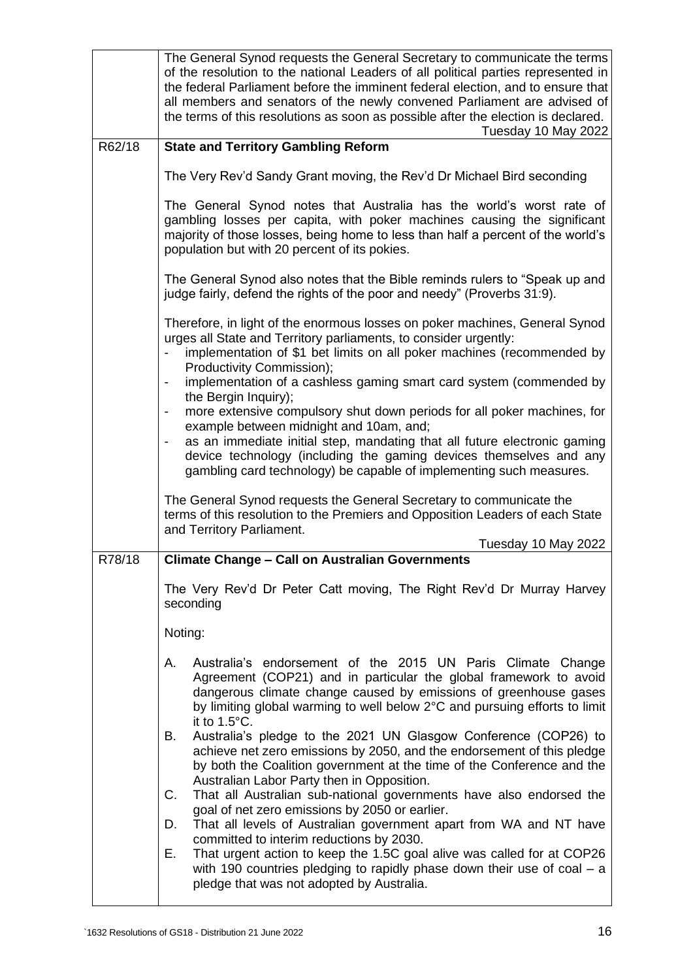|        | The General Synod requests the General Secretary to communicate the terms<br>of the resolution to the national Leaders of all political parties represented in<br>the federal Parliament before the imminent federal election, and to ensure that<br>all members and senators of the newly convened Parliament are advised of<br>the terms of this resolutions as soon as possible after the election is declared.<br>Tuesday 10 May 2022 |
|--------|-------------------------------------------------------------------------------------------------------------------------------------------------------------------------------------------------------------------------------------------------------------------------------------------------------------------------------------------------------------------------------------------------------------------------------------------|
| R62/18 | <b>State and Territory Gambling Reform</b>                                                                                                                                                                                                                                                                                                                                                                                                |
|        | The Very Rev'd Sandy Grant moving, the Rev'd Dr Michael Bird seconding                                                                                                                                                                                                                                                                                                                                                                    |
|        | The General Synod notes that Australia has the world's worst rate of<br>gambling losses per capita, with poker machines causing the significant<br>majority of those losses, being home to less than half a percent of the world's<br>population but with 20 percent of its pokies.                                                                                                                                                       |
|        | The General Synod also notes that the Bible reminds rulers to "Speak up and<br>judge fairly, defend the rights of the poor and needy" (Proverbs 31:9).                                                                                                                                                                                                                                                                                    |
|        | Therefore, in light of the enormous losses on poker machines, General Synod<br>urges all State and Territory parliaments, to consider urgently:                                                                                                                                                                                                                                                                                           |
|        | implementation of \$1 bet limits on all poker machines (recommended by<br>Productivity Commission);                                                                                                                                                                                                                                                                                                                                       |
|        | implementation of a cashless gaming smart card system (commended by<br>the Bergin Inquiry);                                                                                                                                                                                                                                                                                                                                               |
|        | more extensive compulsory shut down periods for all poker machines, for<br>example between midnight and 10am, and;                                                                                                                                                                                                                                                                                                                        |
|        | as an immediate initial step, mandating that all future electronic gaming<br>$\overline{\phantom{a}}$<br>device technology (including the gaming devices themselves and any<br>gambling card technology) be capable of implementing such measures.                                                                                                                                                                                        |
|        | The General Synod requests the General Secretary to communicate the<br>terms of this resolution to the Premiers and Opposition Leaders of each State<br>and Territory Parliament.                                                                                                                                                                                                                                                         |
|        | Tuesday 10 May 2022                                                                                                                                                                                                                                                                                                                                                                                                                       |
| R78/18 | <b>Climate Change - Call on Australian Governments</b>                                                                                                                                                                                                                                                                                                                                                                                    |
|        | The Very Rev'd Dr Peter Catt moving, The Right Rev'd Dr Murray Harvey<br>seconding                                                                                                                                                                                                                                                                                                                                                        |
|        | Noting:                                                                                                                                                                                                                                                                                                                                                                                                                                   |
|        | Australia's endorsement of the 2015 UN Paris Climate Change<br>А.<br>Agreement (COP21) and in particular the global framework to avoid<br>dangerous climate change caused by emissions of greenhouse gases<br>by limiting global warming to well below 2°C and pursuing efforts to limit<br>it to 1.5°C.                                                                                                                                  |
|        | Australia's pledge to the 2021 UN Glasgow Conference (COP26) to<br>В.<br>achieve net zero emissions by 2050, and the endorsement of this pledge<br>by both the Coalition government at the time of the Conference and the<br>Australian Labor Party then in Opposition.                                                                                                                                                                   |
|        | C.<br>That all Australian sub-national governments have also endorsed the<br>goal of net zero emissions by 2050 or earlier.                                                                                                                                                                                                                                                                                                               |
|        | That all levels of Australian government apart from WA and NT have<br>D.<br>committed to interim reductions by 2030.                                                                                                                                                                                                                                                                                                                      |
|        | Е.<br>That urgent action to keep the 1.5C goal alive was called for at COP26<br>with 190 countries pledging to rapidly phase down their use of $\cosh - a$<br>pledge that was not adopted by Australia.                                                                                                                                                                                                                                   |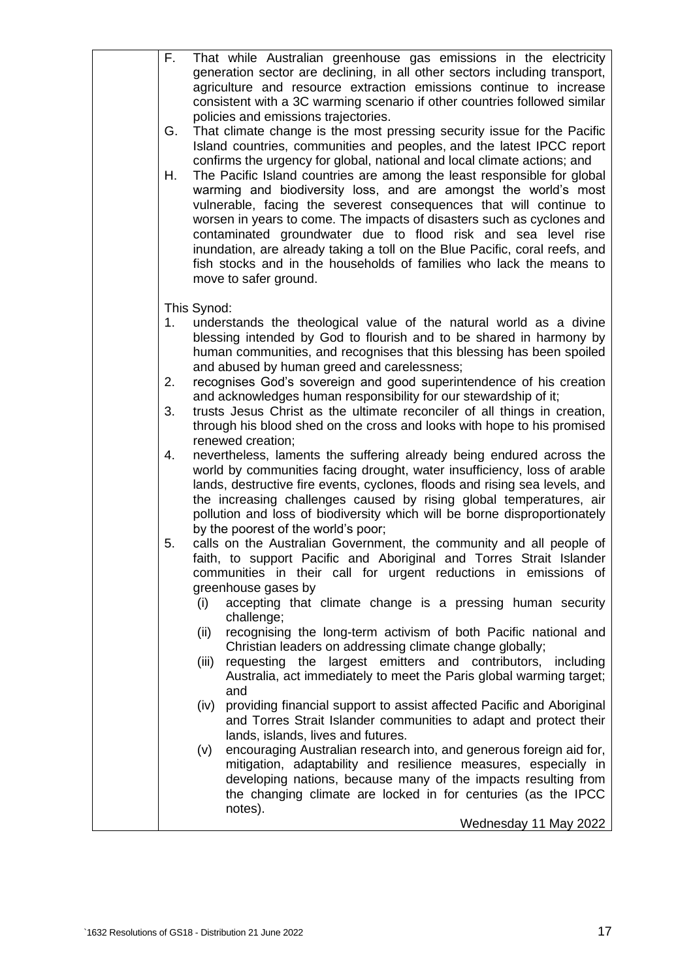| F.<br>That while Australian greenhouse gas emissions in the electricity<br>generation sector are declining, in all other sectors including transport,<br>agriculture and resource extraction emissions continue to increase<br>consistent with a 3C warming scenario if other countries followed similar<br>policies and emissions trajectories.<br>That climate change is the most pressing security issue for the Pacific<br>G.<br>Island countries, communities and peoples, and the latest IPCC report<br>confirms the urgency for global, national and local climate actions; and<br>Η.<br>The Pacific Island countries are among the least responsible for global<br>warming and biodiversity loss, and are amongst the world's most<br>vulnerable, facing the severest consequences that will continue to<br>worsen in years to come. The impacts of disasters such as cyclones and<br>contaminated groundwater due to flood risk and sea level rise<br>inundation, are already taking a toll on the Blue Pacific, coral reefs, and<br>fish stocks and in the households of families who lack the means to<br>move to safer ground.                                                                                                                                                                                                                                                                                                                                                                                                                                                                                                                                                                                                                                                                                                                                                                                                                                                                                                                                                                                                                                              |
|-----------------------------------------------------------------------------------------------------------------------------------------------------------------------------------------------------------------------------------------------------------------------------------------------------------------------------------------------------------------------------------------------------------------------------------------------------------------------------------------------------------------------------------------------------------------------------------------------------------------------------------------------------------------------------------------------------------------------------------------------------------------------------------------------------------------------------------------------------------------------------------------------------------------------------------------------------------------------------------------------------------------------------------------------------------------------------------------------------------------------------------------------------------------------------------------------------------------------------------------------------------------------------------------------------------------------------------------------------------------------------------------------------------------------------------------------------------------------------------------------------------------------------------------------------------------------------------------------------------------------------------------------------------------------------------------------------------------------------------------------------------------------------------------------------------------------------------------------------------------------------------------------------------------------------------------------------------------------------------------------------------------------------------------------------------------------------------------------------------------------------------------------------------------------------------------|
| This Synod:<br>understands the theological value of the natural world as a divine<br>1.<br>blessing intended by God to flourish and to be shared in harmony by<br>human communities, and recognises that this blessing has been spoiled<br>and abused by human greed and carelessness;<br>2.<br>recognises God's sovereign and good superintendence of his creation<br>and acknowledges human responsibility for our stewardship of it;<br>trusts Jesus Christ as the ultimate reconciler of all things in creation,<br>3.<br>through his blood shed on the cross and looks with hope to his promised<br>renewed creation;<br>nevertheless, laments the suffering already being endured across the<br>4.<br>world by communities facing drought, water insufficiency, loss of arable<br>lands, destructive fire events, cyclones, floods and rising sea levels, and<br>the increasing challenges caused by rising global temperatures, air<br>pollution and loss of biodiversity which will be borne disproportionately<br>by the poorest of the world's poor;<br>calls on the Australian Government, the community and all people of<br>5.<br>faith, to support Pacific and Aboriginal and Torres Strait Islander<br>communities in their call for urgent reductions in emissions of<br>greenhouse gases by<br>accepting that climate change is a pressing human security<br>(i)<br>challenge;<br>recognising the long-term activism of both Pacific national and<br>(ii)<br>Christian leaders on addressing climate change globally;<br>requesting the largest emitters and contributors, including<br>(iii)<br>Australia, act immediately to meet the Paris global warming target;<br>and<br>providing financial support to assist affected Pacific and Aboriginal<br>(iv)<br>and Torres Strait Islander communities to adapt and protect their<br>lands, islands, lives and futures.<br>encouraging Australian research into, and generous foreign aid for,<br>(v)<br>mitigation, adaptability and resilience measures, especially in<br>developing nations, because many of the impacts resulting from<br>the changing climate are locked in for centuries (as the IPCC<br>notes). |
| Wednesday 11 May 2022                                                                                                                                                                                                                                                                                                                                                                                                                                                                                                                                                                                                                                                                                                                                                                                                                                                                                                                                                                                                                                                                                                                                                                                                                                                                                                                                                                                                                                                                                                                                                                                                                                                                                                                                                                                                                                                                                                                                                                                                                                                                                                                                                                   |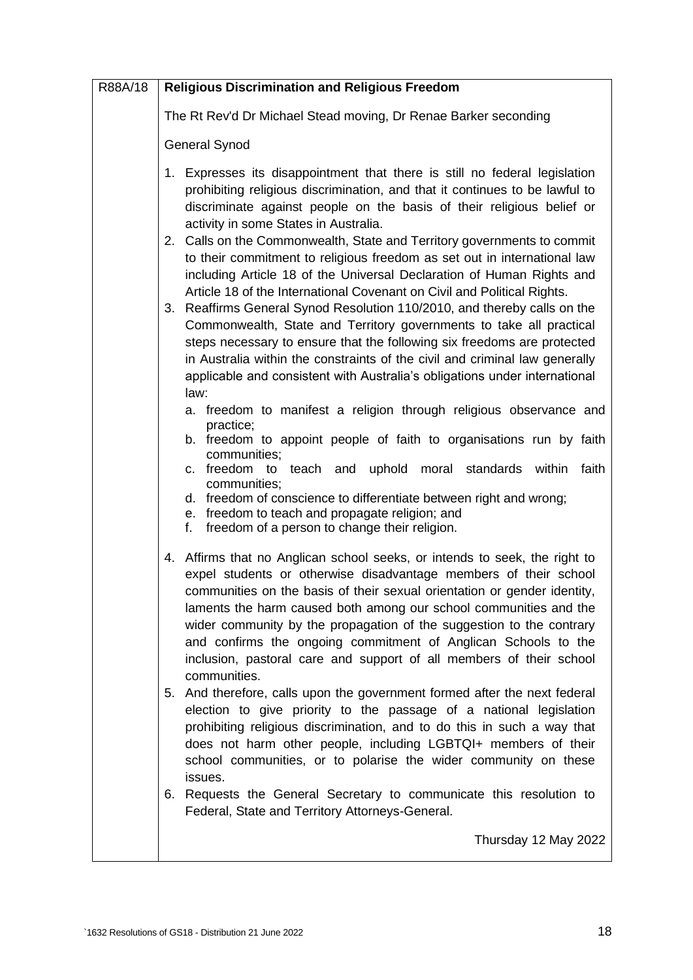| R88A/18 | <b>Religious Discrimination and Religious Freedom</b>                                                                                                                                                                                                                                                                                                                                                                                                                                                                                                                                                                                                                                                                                                                                                                                                                                                                                                                                                                                                                                                                                                                                                                                                 |
|---------|-------------------------------------------------------------------------------------------------------------------------------------------------------------------------------------------------------------------------------------------------------------------------------------------------------------------------------------------------------------------------------------------------------------------------------------------------------------------------------------------------------------------------------------------------------------------------------------------------------------------------------------------------------------------------------------------------------------------------------------------------------------------------------------------------------------------------------------------------------------------------------------------------------------------------------------------------------------------------------------------------------------------------------------------------------------------------------------------------------------------------------------------------------------------------------------------------------------------------------------------------------|
|         | The Rt Rev'd Dr Michael Stead moving, Dr Renae Barker seconding                                                                                                                                                                                                                                                                                                                                                                                                                                                                                                                                                                                                                                                                                                                                                                                                                                                                                                                                                                                                                                                                                                                                                                                       |
|         | <b>General Synod</b>                                                                                                                                                                                                                                                                                                                                                                                                                                                                                                                                                                                                                                                                                                                                                                                                                                                                                                                                                                                                                                                                                                                                                                                                                                  |
|         | 1. Expresses its disappointment that there is still no federal legislation<br>prohibiting religious discrimination, and that it continues to be lawful to<br>discriminate against people on the basis of their religious belief or<br>activity in some States in Australia.<br>2. Calls on the Commonwealth, State and Territory governments to commit<br>to their commitment to religious freedom as set out in international law<br>including Article 18 of the Universal Declaration of Human Rights and<br>Article 18 of the International Covenant on Civil and Political Rights.<br>3. Reaffirms General Synod Resolution 110/2010, and thereby calls on the<br>Commonwealth, State and Territory governments to take all practical<br>steps necessary to ensure that the following six freedoms are protected<br>in Australia within the constraints of the civil and criminal law generally<br>applicable and consistent with Australia's obligations under international<br>law:<br>a. freedom to manifest a religion through religious observance and<br>practice;<br>b. freedom to appoint people of faith to organisations run by faith<br>communities;<br>c. freedom to teach and<br>uphold moral standards within faith<br>communities; |
|         | d. freedom of conscience to differentiate between right and wrong;<br>e. freedom to teach and propagate religion; and<br>f. freedom of a person to change their religion.                                                                                                                                                                                                                                                                                                                                                                                                                                                                                                                                                                                                                                                                                                                                                                                                                                                                                                                                                                                                                                                                             |
|         | 4. Affirms that no Anglican school seeks, or intends to seek, the right to<br>expel students or otherwise disadvantage members of their school<br>communities on the basis of their sexual orientation or gender identity,<br>laments the harm caused both among our school communities and the<br>wider community by the propagation of the suggestion to the contrary<br>and confirms the ongoing commitment of Anglican Schools to the<br>inclusion, pastoral care and support of all members of their school<br>communities.                                                                                                                                                                                                                                                                                                                                                                                                                                                                                                                                                                                                                                                                                                                      |
|         | 5. And therefore, calls upon the government formed after the next federal<br>election to give priority to the passage of a national legislation<br>prohibiting religious discrimination, and to do this in such a way that<br>does not harm other people, including LGBTQI+ members of their<br>school communities, or to polarise the wider community on these<br>issues.                                                                                                                                                                                                                                                                                                                                                                                                                                                                                                                                                                                                                                                                                                                                                                                                                                                                            |
|         | 6. Requests the General Secretary to communicate this resolution to<br>Federal, State and Territory Attorneys-General.                                                                                                                                                                                                                                                                                                                                                                                                                                                                                                                                                                                                                                                                                                                                                                                                                                                                                                                                                                                                                                                                                                                                |
|         | Thursday 12 May 2022                                                                                                                                                                                                                                                                                                                                                                                                                                                                                                                                                                                                                                                                                                                                                                                                                                                                                                                                                                                                                                                                                                                                                                                                                                  |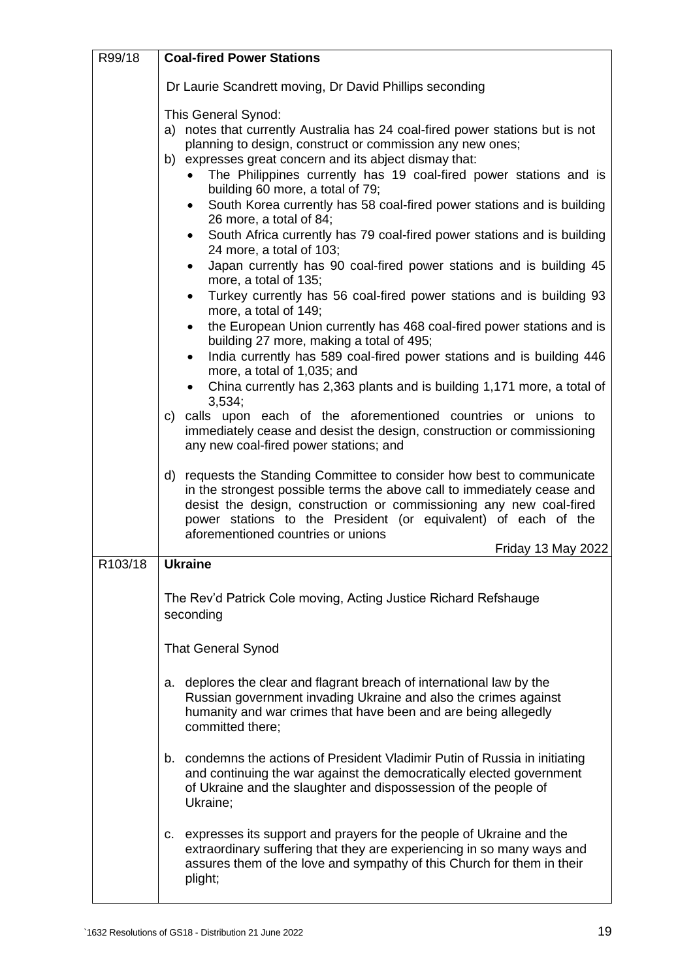| R99/18  | <b>Coal-fired Power Stations</b>                                                                                                                                                                                                                                                                                                                                                                                                                                                                                                                                                                                                                                                                                                                                                                                                                                                                                                                                                                                                                                                                                                                                                                                                                                                                                                                      |
|---------|-------------------------------------------------------------------------------------------------------------------------------------------------------------------------------------------------------------------------------------------------------------------------------------------------------------------------------------------------------------------------------------------------------------------------------------------------------------------------------------------------------------------------------------------------------------------------------------------------------------------------------------------------------------------------------------------------------------------------------------------------------------------------------------------------------------------------------------------------------------------------------------------------------------------------------------------------------------------------------------------------------------------------------------------------------------------------------------------------------------------------------------------------------------------------------------------------------------------------------------------------------------------------------------------------------------------------------------------------------|
|         | Dr Laurie Scandrett moving, Dr David Phillips seconding                                                                                                                                                                                                                                                                                                                                                                                                                                                                                                                                                                                                                                                                                                                                                                                                                                                                                                                                                                                                                                                                                                                                                                                                                                                                                               |
|         | This General Synod:<br>a) notes that currently Australia has 24 coal-fired power stations but is not<br>planning to design, construct or commission any new ones;<br>b) expresses great concern and its abject dismay that:<br>The Philippines currently has 19 coal-fired power stations and is<br>$\bullet$<br>building 60 more, a total of 79;<br>South Korea currently has 58 coal-fired power stations and is building<br>$\bullet$<br>26 more, a total of 84;<br>South Africa currently has 79 coal-fired power stations and is building<br>$\bullet$<br>24 more, a total of 103;<br>Japan currently has 90 coal-fired power stations and is building 45<br>$\bullet$<br>more, a total of 135;<br>Turkey currently has 56 coal-fired power stations and is building 93<br>$\bullet$<br>more, a total of 149;<br>the European Union currently has 468 coal-fired power stations and is<br>$\bullet$<br>building 27 more, making a total of 495;<br>India currently has 589 coal-fired power stations and is building 446<br>$\bullet$<br>more, a total of 1,035; and<br>China currently has 2,363 plants and is building 1,171 more, a total of<br>3,534;<br>c) calls upon each of the aforementioned countries or unions to<br>immediately cease and desist the design, construction or commissioning<br>any new coal-fired power stations; and |
|         | requests the Standing Committee to consider how best to communicate<br>d)<br>in the strongest possible terms the above call to immediately cease and<br>desist the design, construction or commissioning any new coal-fired<br>power stations to the President (or equivalent) of each of the<br>aforementioned countries or unions<br>Friday 13 May 2022                                                                                                                                                                                                                                                                                                                                                                                                                                                                                                                                                                                                                                                                                                                                                                                                                                                                                                                                                                                             |
| R103/18 | <b>Ukraine</b>                                                                                                                                                                                                                                                                                                                                                                                                                                                                                                                                                                                                                                                                                                                                                                                                                                                                                                                                                                                                                                                                                                                                                                                                                                                                                                                                        |
|         | The Rev'd Patrick Cole moving, Acting Justice Richard Refshauge<br>seconding<br><b>That General Synod</b>                                                                                                                                                                                                                                                                                                                                                                                                                                                                                                                                                                                                                                                                                                                                                                                                                                                                                                                                                                                                                                                                                                                                                                                                                                             |
|         | a. deplores the clear and flagrant breach of international law by the<br>Russian government invading Ukraine and also the crimes against<br>humanity and war crimes that have been and are being allegedly<br>committed there;                                                                                                                                                                                                                                                                                                                                                                                                                                                                                                                                                                                                                                                                                                                                                                                                                                                                                                                                                                                                                                                                                                                        |
|         | b. condemns the actions of President Vladimir Putin of Russia in initiating<br>and continuing the war against the democratically elected government<br>of Ukraine and the slaughter and dispossession of the people of<br>Ukraine;                                                                                                                                                                                                                                                                                                                                                                                                                                                                                                                                                                                                                                                                                                                                                                                                                                                                                                                                                                                                                                                                                                                    |
|         | c. expresses its support and prayers for the people of Ukraine and the<br>extraordinary suffering that they are experiencing in so many ways and<br>assures them of the love and sympathy of this Church for them in their<br>plight;                                                                                                                                                                                                                                                                                                                                                                                                                                                                                                                                                                                                                                                                                                                                                                                                                                                                                                                                                                                                                                                                                                                 |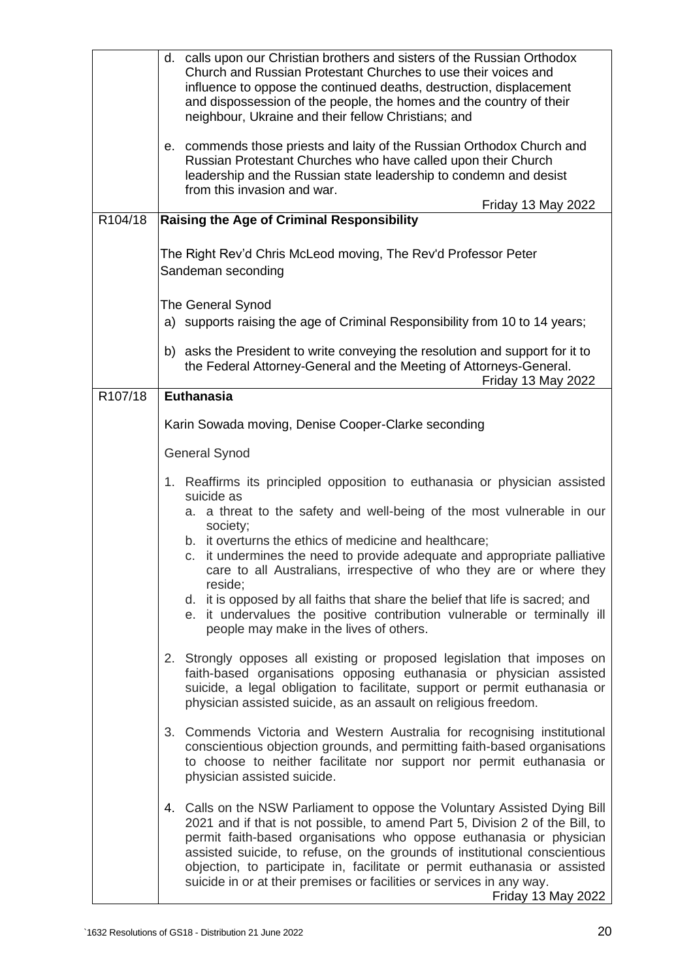|         | d. calls upon our Christian brothers and sisters of the Russian Orthodox<br>Church and Russian Protestant Churches to use their voices and<br>influence to oppose the continued deaths, destruction, displacement<br>and dispossession of the people, the homes and the country of their<br>neighbour, Ukraine and their fellow Christians; and<br>e. commends those priests and laity of the Russian Orthodox Church and<br>Russian Protestant Churches who have called upon their Church<br>leadership and the Russian state leadership to condemn and desist<br>from this invasion and war. |
|---------|------------------------------------------------------------------------------------------------------------------------------------------------------------------------------------------------------------------------------------------------------------------------------------------------------------------------------------------------------------------------------------------------------------------------------------------------------------------------------------------------------------------------------------------------------------------------------------------------|
|         | Friday 13 May 2022                                                                                                                                                                                                                                                                                                                                                                                                                                                                                                                                                                             |
| R104/18 | <b>Raising the Age of Criminal Responsibility</b>                                                                                                                                                                                                                                                                                                                                                                                                                                                                                                                                              |
|         | The Right Rev'd Chris McLeod moving, The Rev'd Professor Peter<br>Sandeman seconding                                                                                                                                                                                                                                                                                                                                                                                                                                                                                                           |
|         | The General Synod                                                                                                                                                                                                                                                                                                                                                                                                                                                                                                                                                                              |
|         | a) supports raising the age of Criminal Responsibility from 10 to 14 years;                                                                                                                                                                                                                                                                                                                                                                                                                                                                                                                    |
|         | b) asks the President to write conveying the resolution and support for it to<br>the Federal Attorney-General and the Meeting of Attorneys-General.<br>Friday 13 May 2022                                                                                                                                                                                                                                                                                                                                                                                                                      |
| R107/18 | <b>Euthanasia</b>                                                                                                                                                                                                                                                                                                                                                                                                                                                                                                                                                                              |
|         | Karin Sowada moving, Denise Cooper-Clarke seconding                                                                                                                                                                                                                                                                                                                                                                                                                                                                                                                                            |
|         | <b>General Synod</b>                                                                                                                                                                                                                                                                                                                                                                                                                                                                                                                                                                           |
|         |                                                                                                                                                                                                                                                                                                                                                                                                                                                                                                                                                                                                |
|         | 1. Reaffirms its principled opposition to euthanasia or physician assisted<br>suicide as                                                                                                                                                                                                                                                                                                                                                                                                                                                                                                       |
|         | a. a threat to the safety and well-being of the most vulnerable in our                                                                                                                                                                                                                                                                                                                                                                                                                                                                                                                         |
|         | society;<br>b. it overturns the ethics of medicine and healthcare;                                                                                                                                                                                                                                                                                                                                                                                                                                                                                                                             |
|         | c. it undermines the need to provide adequate and appropriate palliative<br>care to all Australians, irrespective of who they are or where they                                                                                                                                                                                                                                                                                                                                                                                                                                                |
|         | reside;<br>d. it is opposed by all faiths that share the belief that life is sacred; and                                                                                                                                                                                                                                                                                                                                                                                                                                                                                                       |
|         | e. it undervalues the positive contribution vulnerable or terminally ill<br>people may make in the lives of others.                                                                                                                                                                                                                                                                                                                                                                                                                                                                            |
|         | 2. Strongly opposes all existing or proposed legislation that imposes on<br>faith-based organisations opposing euthanasia or physician assisted<br>suicide, a legal obligation to facilitate, support or permit euthanasia or<br>physician assisted suicide, as an assault on religious freedom.                                                                                                                                                                                                                                                                                               |
|         | 3. Commends Victoria and Western Australia for recognising institutional<br>conscientious objection grounds, and permitting faith-based organisations<br>to choose to neither facilitate nor support nor permit euthanasia or<br>physician assisted suicide.                                                                                                                                                                                                                                                                                                                                   |
|         | 4. Calls on the NSW Parliament to oppose the Voluntary Assisted Dying Bill<br>2021 and if that is not possible, to amend Part 5, Division 2 of the Bill, to<br>permit faith-based organisations who oppose euthanasia or physician<br>assisted suicide, to refuse, on the grounds of institutional conscientious<br>objection, to participate in, facilitate or permit euthanasia or assisted<br>suicide in or at their premises or facilities or services in any way.<br>Friday 13 May 2022                                                                                                   |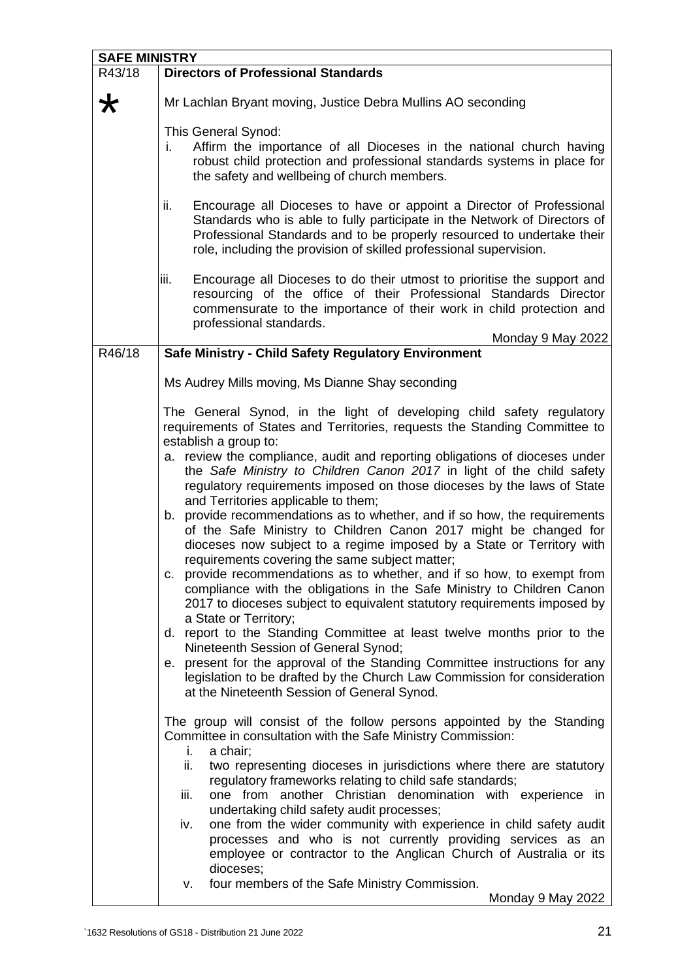| <b>SAFE MINISTRY</b> |                                                                                                                                                                                                                                                                                                                                                                                                                                                                                                                                                                                                                                                                                                                                                                                                                                                                                                                                                                                                                                                                                                                                                                                                                                                                                                                         |  |
|----------------------|-------------------------------------------------------------------------------------------------------------------------------------------------------------------------------------------------------------------------------------------------------------------------------------------------------------------------------------------------------------------------------------------------------------------------------------------------------------------------------------------------------------------------------------------------------------------------------------------------------------------------------------------------------------------------------------------------------------------------------------------------------------------------------------------------------------------------------------------------------------------------------------------------------------------------------------------------------------------------------------------------------------------------------------------------------------------------------------------------------------------------------------------------------------------------------------------------------------------------------------------------------------------------------------------------------------------------|--|
| R43/18               | <b>Directors of Professional Standards</b>                                                                                                                                                                                                                                                                                                                                                                                                                                                                                                                                                                                                                                                                                                                                                                                                                                                                                                                                                                                                                                                                                                                                                                                                                                                                              |  |
| ★                    | Mr Lachlan Bryant moving, Justice Debra Mullins AO seconding                                                                                                                                                                                                                                                                                                                                                                                                                                                                                                                                                                                                                                                                                                                                                                                                                                                                                                                                                                                                                                                                                                                                                                                                                                                            |  |
|                      | This General Synod:<br>Affirm the importance of all Dioceses in the national church having<br>İ.<br>robust child protection and professional standards systems in place for<br>the safety and wellbeing of church members.                                                                                                                                                                                                                                                                                                                                                                                                                                                                                                                                                                                                                                                                                                                                                                                                                                                                                                                                                                                                                                                                                              |  |
|                      | Encourage all Dioceses to have or appoint a Director of Professional<br>ii.<br>Standards who is able to fully participate in the Network of Directors of<br>Professional Standards and to be properly resourced to undertake their<br>role, including the provision of skilled professional supervision.                                                                                                                                                                                                                                                                                                                                                                                                                                                                                                                                                                                                                                                                                                                                                                                                                                                                                                                                                                                                                |  |
|                      | Encourage all Dioceses to do their utmost to prioritise the support and<br>iii.<br>resourcing of the office of their Professional Standards Director<br>commensurate to the importance of their work in child protection and<br>professional standards.<br>Monday 9 May 2022                                                                                                                                                                                                                                                                                                                                                                                                                                                                                                                                                                                                                                                                                                                                                                                                                                                                                                                                                                                                                                            |  |
| R46/18               | Safe Ministry - Child Safety Regulatory Environment                                                                                                                                                                                                                                                                                                                                                                                                                                                                                                                                                                                                                                                                                                                                                                                                                                                                                                                                                                                                                                                                                                                                                                                                                                                                     |  |
|                      | Ms Audrey Mills moving, Ms Dianne Shay seconding                                                                                                                                                                                                                                                                                                                                                                                                                                                                                                                                                                                                                                                                                                                                                                                                                                                                                                                                                                                                                                                                                                                                                                                                                                                                        |  |
|                      | The General Synod, in the light of developing child safety regulatory<br>requirements of States and Territories, requests the Standing Committee to<br>establish a group to:<br>a. review the compliance, audit and reporting obligations of dioceses under<br>the Safe Ministry to Children Canon 2017 in light of the child safety<br>regulatory requirements imposed on those dioceses by the laws of State<br>and Territories applicable to them;<br>b. provide recommendations as to whether, and if so how, the requirements<br>of the Safe Ministry to Children Canon 2017 might be changed for<br>dioceses now subject to a regime imposed by a State or Territory with<br>requirements covering the same subject matter;<br>c. provide recommendations as to whether, and if so how, to exempt from<br>compliance with the obligations in the Safe Ministry to Children Canon<br>2017 to dioceses subject to equivalent statutory requirements imposed by<br>a State or Territory;<br>d. report to the Standing Committee at least twelve months prior to the<br>Nineteenth Session of General Synod;<br>e. present for the approval of the Standing Committee instructions for any<br>legislation to be drafted by the Church Law Commission for consideration<br>at the Nineteenth Session of General Synod. |  |
|                      | The group will consist of the follow persons appointed by the Standing<br>Committee in consultation with the Safe Ministry Commission:<br>a chair;<br>İ.<br>ii.<br>two representing dioceses in jurisdictions where there are statutory<br>regulatory frameworks relating to child safe standards;<br>one from another Christian denomination with experience in<br>iii.<br>undertaking child safety audit processes;<br>one from the wider community with experience in child safety audit<br>iv.<br>processes and who is not currently providing services as an<br>employee or contractor to the Anglican Church of Australia or its<br>dioceses;<br>four members of the Safe Ministry Commission.<br>v.                                                                                                                                                                                                                                                                                                                                                                                                                                                                                                                                                                                                              |  |
|                      | Monday 9 May 2022                                                                                                                                                                                                                                                                                                                                                                                                                                                                                                                                                                                                                                                                                                                                                                                                                                                                                                                                                                                                                                                                                                                                                                                                                                                                                                       |  |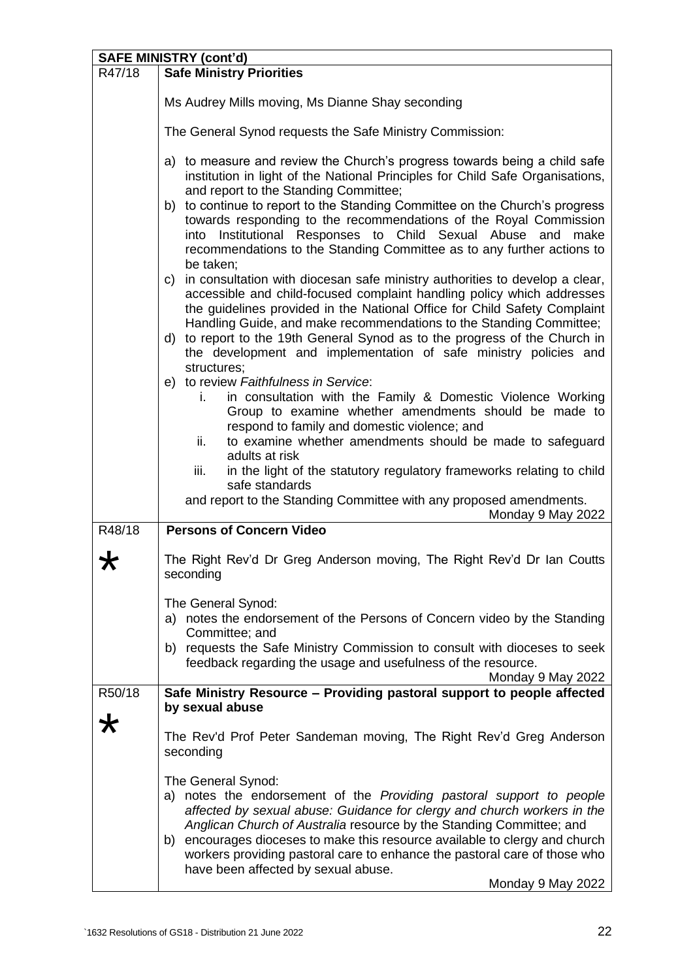| <b>SAFE MINISTRY (cont'd)</b> |                                                                                                                                                                                                                                                                                                                                                                                                                                                                       |
|-------------------------------|-----------------------------------------------------------------------------------------------------------------------------------------------------------------------------------------------------------------------------------------------------------------------------------------------------------------------------------------------------------------------------------------------------------------------------------------------------------------------|
| R47/18                        | <b>Safe Ministry Priorities</b>                                                                                                                                                                                                                                                                                                                                                                                                                                       |
|                               | Ms Audrey Mills moving, Ms Dianne Shay seconding                                                                                                                                                                                                                                                                                                                                                                                                                      |
|                               | The General Synod requests the Safe Ministry Commission:                                                                                                                                                                                                                                                                                                                                                                                                              |
|                               | a) to measure and review the Church's progress towards being a child safe<br>institution in light of the National Principles for Child Safe Organisations,<br>and report to the Standing Committee;                                                                                                                                                                                                                                                                   |
|                               | b) to continue to report to the Standing Committee on the Church's progress<br>towards responding to the recommendations of the Royal Commission<br>into Institutional Responses to Child Sexual Abuse and make<br>recommendations to the Standing Committee as to any further actions to<br>be taken;                                                                                                                                                                |
|                               | c) in consultation with diocesan safe ministry authorities to develop a clear,<br>accessible and child-focused complaint handling policy which addresses<br>the guidelines provided in the National Office for Child Safety Complaint<br>Handling Guide, and make recommendations to the Standing Committee;                                                                                                                                                          |
|                               | d) to report to the 19th General Synod as to the progress of the Church in<br>the development and implementation of safe ministry policies and<br>structures;                                                                                                                                                                                                                                                                                                         |
|                               | e) to review Faithfulness in Service:                                                                                                                                                                                                                                                                                                                                                                                                                                 |
|                               | in consultation with the Family & Domestic Violence Working<br>i.<br>Group to examine whether amendments should be made to<br>respond to family and domestic violence; and                                                                                                                                                                                                                                                                                            |
|                               | to examine whether amendments should be made to safeguard<br>ii.                                                                                                                                                                                                                                                                                                                                                                                                      |
|                               | adults at risk<br>iii.                                                                                                                                                                                                                                                                                                                                                                                                                                                |
|                               | in the light of the statutory regulatory frameworks relating to child<br>safe standards                                                                                                                                                                                                                                                                                                                                                                               |
|                               | and report to the Standing Committee with any proposed amendments.<br>Monday 9 May 2022                                                                                                                                                                                                                                                                                                                                                                               |
| R48/18                        | <b>Persons of Concern Video</b>                                                                                                                                                                                                                                                                                                                                                                                                                                       |
|                               | The Right Rev'd Dr Greg Anderson moving, The Right Rev'd Dr Ian Coutts<br>seconding                                                                                                                                                                                                                                                                                                                                                                                   |
|                               | The General Synod:                                                                                                                                                                                                                                                                                                                                                                                                                                                    |
|                               | a) notes the endorsement of the Persons of Concern video by the Standing<br>Committee; and                                                                                                                                                                                                                                                                                                                                                                            |
|                               | b) requests the Safe Ministry Commission to consult with dioceses to seek<br>feedback regarding the usage and usefulness of the resource.                                                                                                                                                                                                                                                                                                                             |
|                               | Monday 9 May 2022                                                                                                                                                                                                                                                                                                                                                                                                                                                     |
| R50/18                        | Safe Ministry Resource - Providing pastoral support to people affected<br>by sexual abuse                                                                                                                                                                                                                                                                                                                                                                             |
|                               | The Rev'd Prof Peter Sandeman moving, The Right Rev'd Greg Anderson<br>seconding                                                                                                                                                                                                                                                                                                                                                                                      |
|                               | The General Synod:<br>a) notes the endorsement of the Providing pastoral support to people<br>affected by sexual abuse: Guidance for clergy and church workers in the<br>Anglican Church of Australia resource by the Standing Committee; and<br>b) encourages dioceses to make this resource available to clergy and church<br>workers providing pastoral care to enhance the pastoral care of those who<br>have been affected by sexual abuse.<br>Monday 9 May 2022 |
|                               |                                                                                                                                                                                                                                                                                                                                                                                                                                                                       |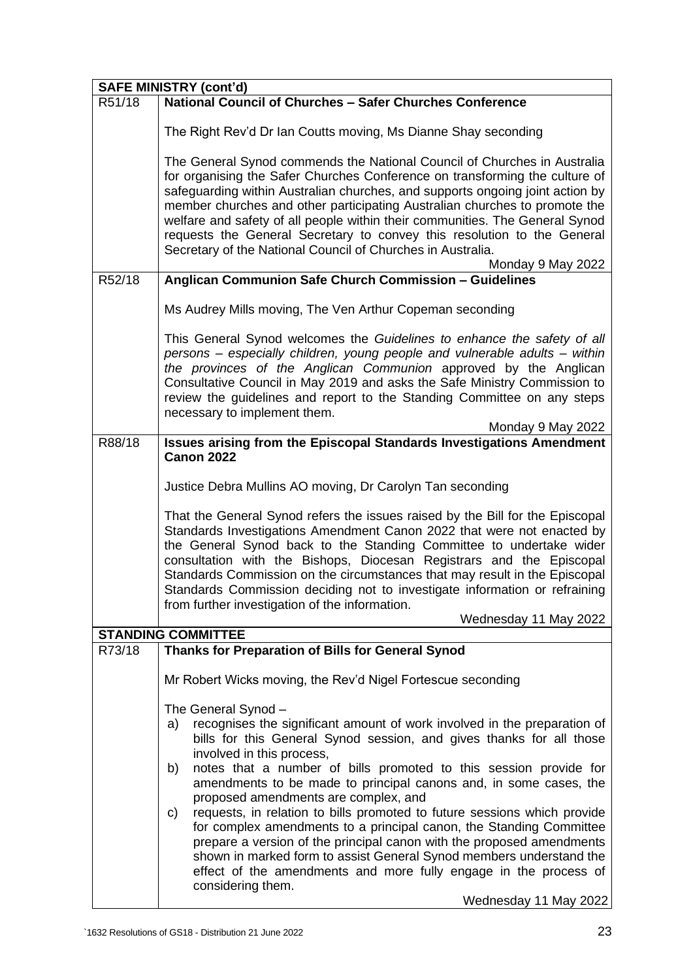| <b>SAFE MINISTRY (cont'd)</b> |                                                                                                                                                                                                                                                                                                                                                                                                                                                                                                                                                                                                                                                                                                                                                                                 |  |
|-------------------------------|---------------------------------------------------------------------------------------------------------------------------------------------------------------------------------------------------------------------------------------------------------------------------------------------------------------------------------------------------------------------------------------------------------------------------------------------------------------------------------------------------------------------------------------------------------------------------------------------------------------------------------------------------------------------------------------------------------------------------------------------------------------------------------|--|
| R51/18                        | National Council of Churches - Safer Churches Conference                                                                                                                                                                                                                                                                                                                                                                                                                                                                                                                                                                                                                                                                                                                        |  |
|                               | The Right Rev'd Dr Ian Coutts moving, Ms Dianne Shay seconding                                                                                                                                                                                                                                                                                                                                                                                                                                                                                                                                                                                                                                                                                                                  |  |
|                               | The General Synod commends the National Council of Churches in Australia<br>for organising the Safer Churches Conference on transforming the culture of<br>safeguarding within Australian churches, and supports ongoing joint action by<br>member churches and other participating Australian churches to promote the<br>welfare and safety of all people within their communities. The General Synod<br>requests the General Secretary to convey this resolution to the General<br>Secretary of the National Council of Churches in Australia.<br>Monday 9 May 2022                                                                                                                                                                                                           |  |
| R52/18                        | Anglican Communion Safe Church Commission - Guidelines                                                                                                                                                                                                                                                                                                                                                                                                                                                                                                                                                                                                                                                                                                                          |  |
|                               | Ms Audrey Mills moving, The Ven Arthur Copeman seconding                                                                                                                                                                                                                                                                                                                                                                                                                                                                                                                                                                                                                                                                                                                        |  |
|                               | This General Synod welcomes the Guidelines to enhance the safety of all<br>persons - especially children, young people and vulnerable adults - within<br>the provinces of the Anglican Communion approved by the Anglican<br>Consultative Council in May 2019 and asks the Safe Ministry Commission to<br>review the guidelines and report to the Standing Committee on any steps<br>necessary to implement them.<br>Monday 9 May 2022                                                                                                                                                                                                                                                                                                                                          |  |
| R88/18                        | <b>Issues arising from the Episcopal Standards Investigations Amendment</b>                                                                                                                                                                                                                                                                                                                                                                                                                                                                                                                                                                                                                                                                                                     |  |
|                               | <b>Canon 2022</b>                                                                                                                                                                                                                                                                                                                                                                                                                                                                                                                                                                                                                                                                                                                                                               |  |
|                               | Justice Debra Mullins AO moving, Dr Carolyn Tan seconding                                                                                                                                                                                                                                                                                                                                                                                                                                                                                                                                                                                                                                                                                                                       |  |
|                               | That the General Synod refers the issues raised by the Bill for the Episcopal<br>Standards Investigations Amendment Canon 2022 that were not enacted by<br>the General Synod back to the Standing Committee to undertake wider<br>consultation with the Bishops, Diocesan Registrars and the Episcopal<br>Standards Commission on the circumstances that may result in the Episcopal<br>Standards Commission deciding not to investigate information or refraining<br>from further investigation of the information.                                                                                                                                                                                                                                                            |  |
|                               | Wednesday 11 May 2022                                                                                                                                                                                                                                                                                                                                                                                                                                                                                                                                                                                                                                                                                                                                                           |  |
|                               | <b>STANDING COMMITTEE</b>                                                                                                                                                                                                                                                                                                                                                                                                                                                                                                                                                                                                                                                                                                                                                       |  |
| R73/18                        | Thanks for Preparation of Bills for General Synod                                                                                                                                                                                                                                                                                                                                                                                                                                                                                                                                                                                                                                                                                                                               |  |
|                               | Mr Robert Wicks moving, the Rev'd Nigel Fortescue seconding                                                                                                                                                                                                                                                                                                                                                                                                                                                                                                                                                                                                                                                                                                                     |  |
|                               | The General Synod -<br>recognises the significant amount of work involved in the preparation of<br>a)<br>bills for this General Synod session, and gives thanks for all those<br>involved in this process,<br>notes that a number of bills promoted to this session provide for<br>b)<br>amendments to be made to principal canons and, in some cases, the<br>proposed amendments are complex, and<br>requests, in relation to bills promoted to future sessions which provide<br>C)<br>for complex amendments to a principal canon, the Standing Committee<br>prepare a version of the principal canon with the proposed amendments<br>shown in marked form to assist General Synod members understand the<br>effect of the amendments and more fully engage in the process of |  |
|                               | considering them.<br>Wednesday 11 May 2022                                                                                                                                                                                                                                                                                                                                                                                                                                                                                                                                                                                                                                                                                                                                      |  |